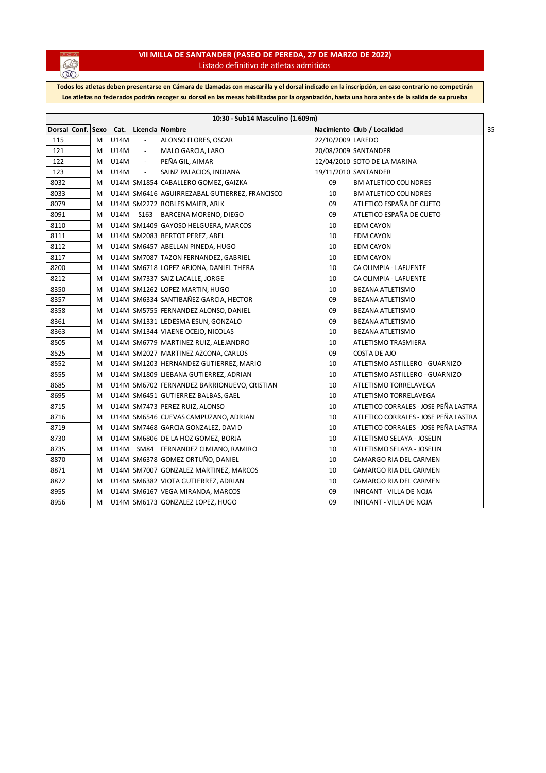

## **VII MILLA DE SANTANDER (PASEO DE PEREDA, 27 DE MARZO DE 2022)** Listado definitivo de atletas admitidos

**Todos los atletas deben presentarse en Cámara de Llamadas con mascarilla y el dorsal indicado en la inscripción, en caso contrario no competirán Los atletas no federados podrán recoger su dorsal en las mesas habilitadas por la organización, hasta una hora antes de la salida de su prueba**

|                   |   |             |                          | 10:30 - Sub14 Masculino (1.609m)              |                   |                                      |
|-------------------|---|-------------|--------------------------|-----------------------------------------------|-------------------|--------------------------------------|
| Dorsal Conf. Sexo |   |             |                          | Cat. Licencia Nombre                          |                   | Nacimiento Club / Localidad          |
| 115               | M | <b>U14M</b> |                          | ALONSO FLORES, OSCAR                          | 22/10/2009 LAREDO |                                      |
| 121               | M | U14M        | $\overline{\phantom{a}}$ | MALO GARCIA, LARO                             |                   | 20/08/2009 SANTANDER                 |
| 122               | м | U14M        | $\overline{\phantom{a}}$ | PEÑA GIL, AIMAR                               |                   | 12/04/2010 SOTO DE LA MARINA         |
| 123               | M | U14M        | $\overline{\phantom{a}}$ | SAINZ PALACIOS, INDIANA                       |                   | 19/11/2010 SANTANDER                 |
| 8032              | M |             |                          | U14M SM1854 CABALLERO GOMEZ, GAIZKA           | 09                | <b>BM ATLETICO COLINDRES</b>         |
| 8033              | M |             |                          | U14M SM6416 AGUIRREZABAL GUTIERREZ, FRANCISCO | 10                | <b>BM ATLETICO COLINDRES</b>         |
| 8079              | M |             |                          | U14M SM2272 ROBLES MAIER, ARIK                | 09                | ATLETICO ESPAÑA DE CUETO             |
| 8091              | M | U14M        |                          | S163 BARCENA MORENO, DIEGO                    | 09                | ATLETICO ESPAÑA DE CUETO             |
| 8110              | M |             |                          | U14M SM1409 GAYOSO HELGUERA, MARCOS           | 10                | <b>EDM CAYON</b>                     |
| 8111              | M |             |                          | U14M SM2083 BERTOT PEREZ, ABEL                | 10                | <b>EDM CAYON</b>                     |
| 8112              | M |             |                          | U14M SM6457 ABELLAN PINEDA, HUGO              | 10                | <b>EDM CAYON</b>                     |
| 8117              | M |             |                          | U14M SM7087 TAZON FERNANDEZ, GABRIEL          | 10                | <b>EDM CAYON</b>                     |
| 8200              | M |             |                          | U14M SM6718 LOPEZ ARJONA, DANIEL THERA        | 10                | CA OLIMPIA - LAFUENTE                |
| 8212              | M |             |                          | U14M SM7337 SAIZ LACALLE, JORGE               | 10                | CA OLIMPIA - LAFUENTE                |
| 8350              | M |             |                          | U14M SM1262 LOPEZ MARTIN, HUGO                | 10                | <b>BEZANA ATLETISMO</b>              |
| 8357              | M |             |                          | U14M SM6334 SANTIBAÑEZ GARCIA, HECTOR         | 09                | <b>BEZANA ATLETISMO</b>              |
| 8358              | M |             |                          | U14M SM5755 FERNANDEZ ALONSO, DANIEL          | 09                | <b>BEZANA ATLETISMO</b>              |
| 8361              | M |             |                          | U14M SM1331 LEDESMA ESUN, GONZALO             | 09                | <b>BEZANA ATLETISMO</b>              |
| 8363              | M |             |                          | U14M SM1344 VIAENE OCEJO, NICOLAS             | 10                | <b>BEZANA ATLETISMO</b>              |
| 8505              | M |             |                          | U14M SM6779 MARTINEZ RUIZ, ALEJANDRO          | 10                | ATLETISMO TRASMIERA                  |
| 8525              | M |             |                          | U14M SM2027 MARTINEZ AZCONA, CARLOS           | 09                | COSTA DE AJO                         |
| 8552              | M |             |                          | U14M SM1203 HERNANDEZ GUTIERREZ, MARIO        | 10                | ATLETISMO ASTILLERO - GUARNIZO       |
| 8555              | M |             |                          | U14M SM1809 LIEBANA GUTIERREZ, ADRIAN         | 10                | ATLETISMO ASTILLERO - GUARNIZO       |
| 8685              | M |             |                          | U14M SM6702 FERNANDEZ BARRIONUEVO, CRISTIAN   | 10                | ATLETISMO TORRELAVEGA                |
| 8695              | M |             |                          | U14M SM6451 GUTIERREZ BALBAS, GAEL            | 10                | ATLETISMO TORRELAVEGA                |
| 8715              | M |             |                          | U14M SM7473 PEREZ RUIZ, ALONSO                | 10                | ATLETICO CORRALES - JOSE PEÑA LASTRA |
| 8716              | M |             |                          | U14M SM6546 CUEVAS CAMPUZANO, ADRIAN          | 10                | ATLETICO CORRALES - JOSE PEÑA LASTRA |
| 8719              | M |             |                          | U14M SM7468 GARCIA GONZALEZ, DAVID            | 10                | ATLETICO CORRALES - JOSE PEÑA LASTRA |
| 8730              | M |             |                          | U14M SM6806 DE LA HOZ GOMEZ, BORJA            | 10                | ATLETISMO SELAYA - JOSELIN           |
| 8735              | M |             |                          | U14M SM84 FERNANDEZ CIMIANO, RAMIRO           | 10                | ATLETISMO SELAYA - JOSELIN           |
| 8870              | M |             |                          | U14M SM6378 GOMEZ ORTUÑO, DANIEL              | 10                | CAMARGO RIA DEL CARMEN               |
| 8871              | M |             |                          | U14M SM7007 GONZALEZ MARTINEZ, MARCOS         | 10                | CAMARGO RIA DEL CARMEN               |
| 8872              | M |             |                          | U14M SM6382 VIOTA GUTIERREZ, ADRIAN           | 10                | CAMARGO RIA DEL CARMEN               |
| 8955              | M |             |                          | U14M SM6167 VEGA MIRANDA, MARCOS              | 09                | INFICANT - VILLA DE NOJA             |
| 8956              | м |             |                          | U14M SM6173 GONZALEZ LOPEZ, HUGO              | 09                | INFICANT - VILLA DE NOJA             |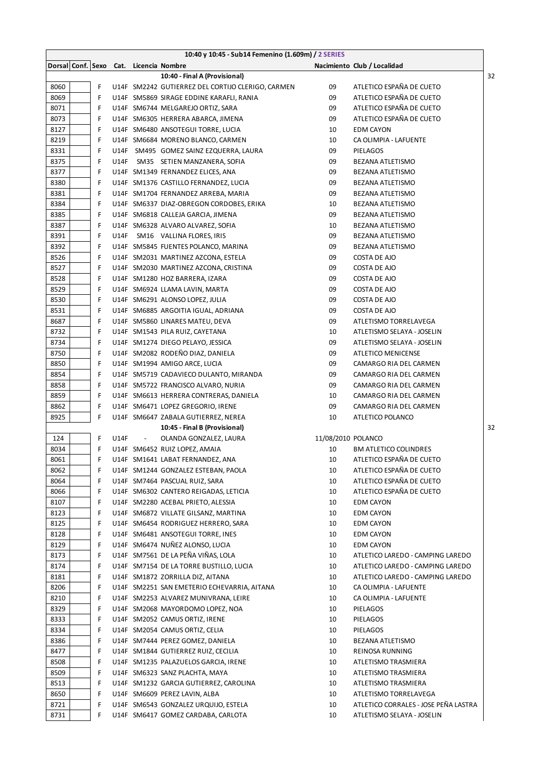|                                        |   |      |                          | 10:40 y 10:45 - Sub14 Femenino (1.609m) / 2 SERIES |                    |                                      |    |
|----------------------------------------|---|------|--------------------------|----------------------------------------------------|--------------------|--------------------------------------|----|
| Dorsal Conf. Sexo Cat. Licencia Nombre |   |      |                          |                                                    |                    | Nacimiento Club / Localidad          |    |
|                                        |   |      |                          | 10:40 - Final A (Provisional)                      |                    |                                      | 32 |
| 8060                                   | F |      |                          | U14F SM2242 GUTIERREZ DEL CORTIJO CLERIGO, CARMEN  | 09                 | ATLETICO ESPAÑA DE CUETO             |    |
| 8069                                   | F |      |                          | U14F SM5869 SIRAGE EDDINE KARAFLI, RANIA           | 09                 | ATLETICO ESPAÑA DE CUETO             |    |
| 8071                                   | F |      |                          | U14F SM6744 MELGAREJO ORTIZ, SARA                  | 09                 | ATLETICO ESPAÑA DE CUETO             |    |
| 8073                                   | F |      |                          | U14F SM6305 HERRERA ABARCA, JIMENA                 | 09                 | ATLETICO ESPAÑA DE CUETO             |    |
| 8127                                   | F |      |                          | U14F SM6480 ANSOTEGUI TORRE, LUCIA                 | 10                 | <b>EDM CAYON</b>                     |    |
| 8219                                   | F |      |                          | U14F SM6684 MORENO BLANCO, CARMEN                  | 10                 | CA OLIMPIA - LAFUENTE                |    |
| 8331                                   | F | U14F |                          | SM495 GOMEZ SAINZ EZQUERRA, LAURA                  | 09                 | PIELAGOS                             |    |
| 8375                                   | F | U14F |                          | SM35 SETIEN MANZANERA, SOFIA                       | 09                 | BEZANA ATLETISMO                     |    |
| 8377                                   | F |      |                          | U14F SM1349 FERNANDEZ ELICES, ANA                  | 09                 | BEZANA ATLETISMO                     |    |
| 8380                                   | F |      |                          |                                                    | 09                 |                                      |    |
|                                        |   |      |                          | U14F SM1376 CASTILLO FERNANDEZ, LUCIA              |                    | BEZANA ATLETISMO                     |    |
| 8381                                   | F |      |                          | U14F SM1704 FERNANDEZ ARREBA, MARIA                | 09                 | BEZANA ATLETISMO                     |    |
| 8384                                   | F |      |                          | U14F SM6337 DIAZ-OBREGON CORDOBES, ERIKA           | 10                 | BEZANA ATLETISMO                     |    |
| 8385                                   | F |      |                          | U14F SM6818 CALLEJA GARCIA, JIMENA                 | 09                 | BEZANA ATLETISMO                     |    |
| 8387                                   | F |      |                          | U14F SM6328 ALVARO ALVAREZ, SOFIA                  | 10                 | BEZANA ATLETISMO                     |    |
| 8391                                   | F | U14F |                          | SM16 VALLINA FLORES, IRIS                          | 09                 | BEZANA ATLETISMO                     |    |
| 8392                                   | F |      |                          | U14F SM5845 FUENTES POLANCO, MARINA                | 09                 | BEZANA ATLETISMO                     |    |
| 8526                                   | F |      |                          | U14F SM2031 MARTINEZ AZCONA, ESTELA                | 09                 | COSTA DE AJO                         |    |
| 8527                                   | F |      |                          | U14F SM2030 MARTINEZ AZCONA, CRISTINA              | 09                 | COSTA DE AJO                         |    |
| 8528                                   | F |      |                          | U14F SM1280 HOZ BARRERA, IZARA                     | 09                 | COSTA DE AJO                         |    |
| 8529                                   | F |      |                          | U14F SM6924 LLAMA LAVIN, MARTA                     | 09                 | COSTA DE AJO                         |    |
| 8530                                   | F |      |                          | U14F SM6291 ALONSO LOPEZ, JULIA                    | 09                 | COSTA DE AJO                         |    |
| 8531                                   | F |      |                          | U14F SM6885 ARGOITIA IGUAL, ADRIANA                | 09                 | COSTA DE AJO                         |    |
| 8687                                   | F |      |                          | U14F SM5860 LINARES MATEU, DEVA                    | 09                 | ATLETISMO TORRELAVEGA                |    |
| 8732                                   | F |      |                          | U14F SM1543 PILA RUIZ, CAYETANA                    | 10                 | ATLETISMO SELAYA - JOSELIN           |    |
| 8734                                   | F |      |                          | U14F SM1274 DIEGO PELAYO, JESSICA                  | 09                 | ATLETISMO SELAYA - JOSELIN           |    |
| 8750                                   | F |      |                          | U14F SM2082 RODEÑO DIAZ, DANIELA                   | 09                 | ATLETICO MENICENSE                   |    |
| 8850                                   | F |      |                          | U14F SM1994 AMIGO ARCE, LUCIA                      | 09                 | CAMARGO RIA DEL CARMEN               |    |
| 8854                                   | F |      |                          | U14F SM5719 CADAVIECO DULANTO, MIRANDA             | 09                 | CAMARGO RIA DEL CARMEN               |    |
| 8858                                   | F |      |                          | U14F SM5722 FRANCISCO ALVARO, NURIA                | 09                 | CAMARGO RIA DEL CARMEN               |    |
| 8859                                   | F |      |                          | U14F SM6613 HERRERA CONTRERAS, DANIELA             | 10                 | CAMARGO RIA DEL CARMEN               |    |
| 8862                                   | F |      |                          | U14F SM6471 LOPEZ GREGORIO, IRENE                  | 09                 | CAMARGO RIA DEL CARMEN               |    |
| 8925                                   | F |      |                          |                                                    | 10                 | ATLETICO POLANCO                     |    |
|                                        |   |      |                          | U14F SM6647 ZABALA GUTIERREZ, NEREA                |                    |                                      |    |
|                                        |   |      |                          | 10:45 - Final B (Provisional)                      |                    |                                      | 32 |
| 124                                    | F | U14F | $\overline{\phantom{a}}$ | OLANDA GONZALEZ, LAURA                             | 11/08/2010 POLANCO |                                      |    |
| 8034                                   | F |      |                          | U14F SM6452 RUIZ LOPEZ, AMAIA                      | 10                 | <b>BM ATLETICO COLINDRES</b>         |    |
| 8061                                   | F |      |                          | U14F SM1641 LABAT FERNANDEZ, ANA                   | 10                 | ATLETICO ESPAÑA DE CUETO             |    |
| 8062                                   | F |      |                          | U14F SM1244 GONZALEZ ESTEBAN, PAOLA                | 10                 | ATLETICO ESPAÑA DE CUETO             |    |
| 8064                                   | F |      |                          | U14F SM7464 PASCUAL RUIZ, SARA                     | 10                 | ATLETICO ESPAÑA DE CUETO             |    |
| 8066                                   | F |      |                          | U14F SM6302 CANTERO REIGADAS, LETICIA              | 10                 | ATLETICO ESPAÑA DE CUETO             |    |
| 8107                                   | F |      |                          | U14F SM2280 ACEBAL PRIETO, ALESSIA                 | 10                 | <b>EDM CAYON</b>                     |    |
| 8123                                   | F |      |                          | U14F SM6872 VILLATE GILSANZ, MARTINA               | 10                 | <b>EDM CAYON</b>                     |    |
| 8125                                   | F |      |                          | U14F SM6454 RODRIGUEZ HERRERO, SARA                | 10                 | EDM CAYON                            |    |
| 8128                                   | F |      |                          | U14F SM6481 ANSOTEGUI TORRE, INES                  | 10                 | <b>EDM CAYON</b>                     |    |
| 8129                                   | F |      |                          | U14F SM6474 NUÑEZ ALONSO, LUCIA                    | 10                 | <b>EDM CAYON</b>                     |    |
| 8173                                   | F |      |                          | U14F SM7561 DE LA PEÑA VIÑAS, LOLA                 | 10                 | ATLETICO LAREDO - CAMPING LAREDO     |    |
| 8174                                   | F |      |                          | U14F SM7154 DE LA TORRE BUSTILLO, LUCIA            | 10                 | ATLETICO LAREDO - CAMPING LAREDO     |    |
| 8181                                   | F |      |                          | U14F SM1872 ZORRILLA DIZ, AITANA                   | 10                 | ATLETICO LAREDO - CAMPING LAREDO     |    |
| 8206                                   | F |      |                          | U14F SM2251 SAN EMETERIO ECHEVARRIA, AITANA        | 10                 | CA OLIMPIA - LAFUENTE                |    |
| 8210                                   | F |      |                          | U14F SM2253 ALVAREZ MUNIVRANA, LEIRE               | 10                 | CA OLIMPIA - LAFUENTE                |    |
| 8329                                   | F |      |                          | U14F SM2068 MAYORDOMO LOPEZ, NOA                   | 10                 | PIELAGOS                             |    |
| 8333                                   | F |      |                          | U14F SM2052 CAMUS ORTIZ, IRENE                     | 10                 | PIELAGOS                             |    |
| 8334                                   | F |      |                          | U14F SM2054 CAMUS ORTIZ, CELIA                     | 10                 | PIELAGOS                             |    |
| 8386                                   | F |      |                          | U14F SM7444 PEREZ GOMEZ, DANIELA                   | 10                 | BEZANA ATLETISMO                     |    |
| 8477                                   | F |      |                          | U14F SM1844 GUTIERREZ RUIZ, CECILIA                | 10                 | REINOSA RUNNING                      |    |
| 8508                                   | F |      |                          | U14F SM1235 PALAZUELOS GARCIA, IRENE               | 10                 | ATLETISMO TRASMIERA                  |    |
| 8509                                   | F |      |                          | U14F SM6323 SANZ PLACHTA, MAYA                     | 10                 | ATLETISMO TRASMIERA                  |    |
|                                        |   |      |                          |                                                    |                    |                                      |    |
| 8513                                   | F |      |                          | U14F SM1232 GARCIA GUTIERREZ, CAROLINA             | 10                 | ATLETISMO TRASMIERA                  |    |
| 8650                                   | F |      |                          | U14F SM6609 PEREZ LAVIN, ALBA                      | 10                 | ATLETISMO TORRELAVEGA                |    |
| 8721                                   | F |      |                          | U14F SM6543 GONZALEZ URQUIJO, ESTELA               | 10                 | ATLETICO CORRALES - JOSE PEÑA LASTRA |    |
| 8731                                   | F |      |                          | U14F SM6417 GOMEZ CARDABA, CARLOTA                 | 10                 | ATLETISMO SELAYA - JOSELIN           |    |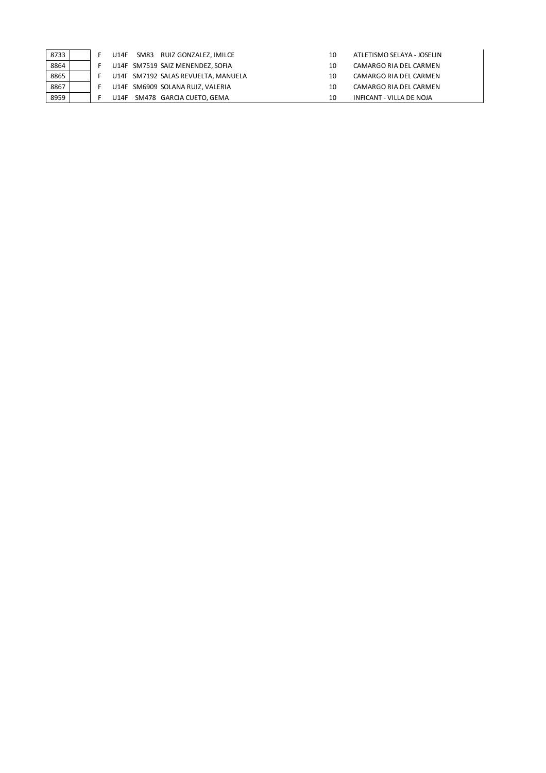| 8733 |  | <b>U14F</b> | SM83 | RUIZ GONZALEZ, IMILCE               | 10 | ATLETISMO SELAYA - JOSELIN |
|------|--|-------------|------|-------------------------------------|----|----------------------------|
| 8864 |  |             |      | U14F SM7519 SAIZ MENENDEZ, SOFIA    | 10 | CAMARGO RIA DEL CARMEN     |
| 8865 |  |             |      | U14F SM7192 SALAS REVUELTA, MANUELA | 10 | CAMARGO RIA DEL CARMEN     |
| 8867 |  |             |      | U14F SM6909 SOLANA RUIZ, VALERIA    | 10 | CAMARGO RIA DEL CARMEN     |
| 8959 |  | <b>U14F</b> |      | SM478 GARCIA CUETO, GEMA            | 10 | INFICANT - VILLA DE NOJA   |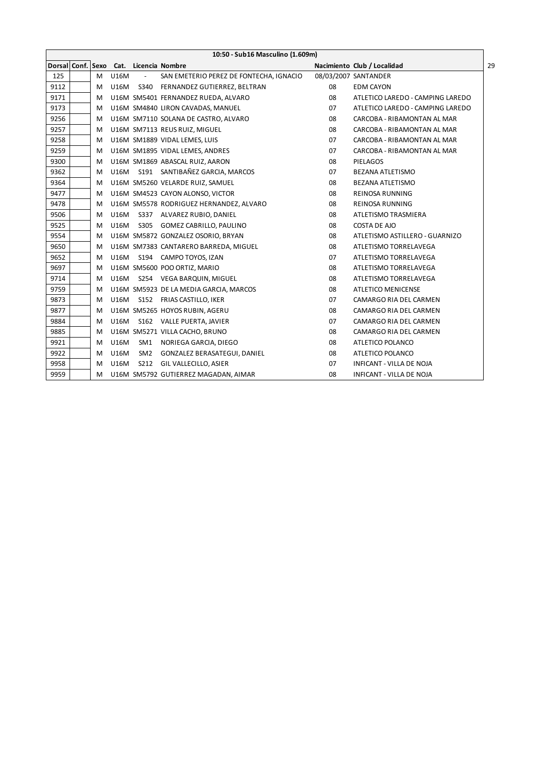|      | 10:50 - Sub16 Masculino (1.609m) |   |             |                                        |                                         |    |                                  |  |  |
|------|----------------------------------|---|-------------|----------------------------------------|-----------------------------------------|----|----------------------------------|--|--|
|      |                                  |   |             | Dorsal Conf. Sexo Cat. Licencia Nombre |                                         |    | Nacimiento Club / Localidad      |  |  |
| 125  |                                  | M | <b>U16M</b> | $\overline{\phantom{a}}$               | SAN EMETERIO PEREZ DE FONTECHA, IGNACIO |    | 08/03/2007 SANTANDER             |  |  |
| 9112 |                                  | м |             |                                        | U16M S340 FERNANDEZ GUTIERREZ, BELTRAN  | 08 | <b>EDM CAYON</b>                 |  |  |
| 9171 |                                  | м |             |                                        | U16M SM5401 FERNANDEZ RUEDA, ALVARO     | 08 | ATLETICO LAREDO - CAMPING LAREDO |  |  |
| 9173 |                                  | м |             |                                        | U16M SM4840 LIRON CAVADAS, MANUEL       | 07 | ATLETICO LAREDO - CAMPING LAREDO |  |  |
| 9256 |                                  | м |             |                                        | U16M SM7110 SOLANA DE CASTRO, ALVARO    | 08 | CARCOBA - RIBAMONTAN AL MAR      |  |  |
| 9257 |                                  | м |             |                                        | U16M SM7113 REUS RUIZ, MIGUEL           | 08 | CARCOBA - RIBAMONTAN AL MAR      |  |  |
| 9258 |                                  | м |             |                                        | U16M SM1889 VIDAL LEMES, LUIS           | 07 | CARCOBA - RIBAMONTAN AL MAR      |  |  |
| 9259 |                                  | M |             |                                        | U16M SM1895 VIDAL LEMES, ANDRES         | 07 | CARCOBA - RIBAMONTAN AL MAR      |  |  |
| 9300 |                                  | м |             |                                        | U16M SM1869 ABASCAL RUIZ, AARON         | 08 | <b>PIELAGOS</b>                  |  |  |
| 9362 |                                  | м |             |                                        | U16M S191 SANTIBAÑEZ GARCIA, MARCOS     | 07 | BEZANA ATLETISMO                 |  |  |
| 9364 |                                  | м |             |                                        | U16M SM5260 VELARDE RUIZ, SAMUEL        | 08 | <b>BEZANA ATLETISMO</b>          |  |  |
| 9477 |                                  | м |             |                                        | U16M SM4523 CAYON ALONSO, VICTOR        | 08 | REINOSA RUNNING                  |  |  |
| 9478 |                                  | м |             |                                        | U16M SM5578 RODRIGUEZ HERNANDEZ, ALVARO | 08 | <b>REINOSA RUNNING</b>           |  |  |
| 9506 |                                  | м | U16M        |                                        | S337 ALVAREZ RUBIO, DANIEL              | 08 | ATLETISMO TRASMIERA              |  |  |
| 9525 |                                  | м | U16M        |                                        | S305 GOMEZ CABRILLO, PAULINO            | 08 | COSTA DE AJO                     |  |  |
| 9554 |                                  | м |             |                                        | U16M SM5872 GONZALEZ OSORIO, BRYAN      | 08 | ATLETISMO ASTILLERO - GUARNIZO   |  |  |
| 9650 |                                  | м |             |                                        | U16M SM7383 CANTARERO BARREDA, MIGUEL   | 08 | ATLETISMO TORRELAVEGA            |  |  |
| 9652 |                                  | м |             |                                        | U16M S194 CAMPO TOYOS, IZAN             | 07 | ATLETISMO TORRELAVEGA            |  |  |
| 9697 |                                  | м |             |                                        | U16M SM5600 POO ORTIZ, MARIO            | 08 | ATLETISMO TORRELAVEGA            |  |  |
| 9714 |                                  | м |             |                                        | U16M S254 VEGA BARQUIN, MIGUEL          | 08 | ATLETISMO TORRELAVEGA            |  |  |
| 9759 |                                  | м |             |                                        | U16M SM5923 DE LA MEDIA GARCIA, MARCOS  | 08 | <b>ATLETICO MENICENSE</b>        |  |  |
| 9873 |                                  | м |             |                                        | U16M S152 FRIAS CASTILLO, IKER          | 07 | CAMARGO RIA DEL CARMEN           |  |  |
| 9877 |                                  | м |             |                                        | U16M SM5265 HOYOS RUBIN, AGERU          | 08 | CAMARGO RIA DEL CARMEN           |  |  |
| 9884 |                                  | м |             |                                        | U16M S162 VALLE PUERTA, JAVIER          | 07 | CAMARGO RIA DEL CARMEN           |  |  |
| 9885 |                                  | м |             |                                        | U16M SM5271 VILLA CACHO, BRUNO          | 08 | CAMARGO RIA DEL CARMEN           |  |  |
| 9921 |                                  | м | U16M        |                                        | SM1 NORIEGA GARCIA, DIEGO               | 08 | ATLETICO POLANCO                 |  |  |
| 9922 |                                  | м | U16M        |                                        | SM2 GONZALEZ BERASATEGUI, DANIEL        | 08 | ATLETICO POLANCO                 |  |  |
| 9958 |                                  | м | U16M        |                                        | S212 GIL VALLECILLO, ASIER              | 07 | INFICANT - VILLA DE NOJA         |  |  |
| 9959 |                                  | м |             |                                        | U16M SM5792 GUTIERREZ MAGADAN, AIMAR    | 08 | <b>INFICANT - VILLA DE NOJA</b>  |  |  |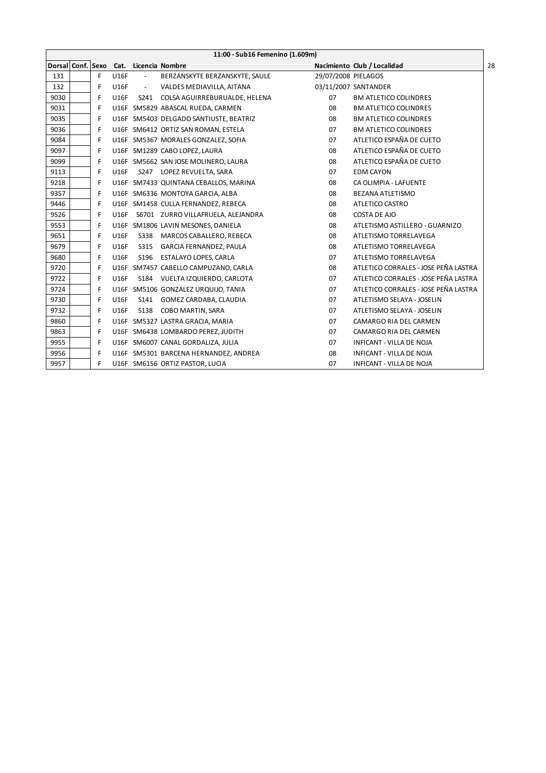|      |   |             |                          | 11:00 - Sub16 Femenino (1.609m)        |                     |                                      |
|------|---|-------------|--------------------------|----------------------------------------|---------------------|--------------------------------------|
|      |   |             |                          | Dorsal Conf. Sexo Cat. Licencia Nombre |                     | Nacimiento Club / Localidad          |
| 131  | F | U16F        | $\overline{\phantom{a}}$ | BERZANSKYTE BERZANSKYTE, SAULE         | 29/07/2008 PIELAGOS |                                      |
| 132  | F | U16F        | $\sim$                   | VALDES MEDIAVILLA, AITANA              |                     | 03/11/2007 SANTANDER                 |
| 9030 | F | U16F        |                          | S241 COLSA AGUIRREBURUALDE, HELENA     | 07                  | <b>BM ATLETICO COLINDRES</b>         |
| 9031 | F |             |                          | U16F SM5829 ABASCAL RUEDA, CARMEN      | 08                  | <b>BM ATLETICO COLINDRES</b>         |
| 9035 | F |             |                          | U16F SM5403 DELGADO SANTIUSTE, BEATRIZ | 08                  | <b>BM ATLETICO COLINDRES</b>         |
| 9036 | F |             |                          | U16F SM6412 ORTIZ SAN ROMAN, ESTELA    | 07                  | <b>BM ATLETICO COLINDRES</b>         |
| 9084 | F |             |                          | U16F SM5367 MORALES GONZALEZ, SOFIA    | 07                  | ATLETICO ESPAÑA DE CUETO             |
| 9097 | F |             |                          | U16F SM1289 CABO LOPEZ, LAURA          | 08                  | ATLETICO ESPAÑA DE CUETO             |
| 9099 | F |             |                          | U16F SM5662 SAN JOSE MOLINERO, LAURA   | 08                  | ATLETICO ESPAÑA DE CUETO             |
| 9113 | F | <b>U16F</b> |                          | S247 LOPEZ REVUELTA, SARA              | 07                  | <b>EDM CAYON</b>                     |
| 9218 | F |             |                          | U16F SM7433 QUINTANA CEBALLOS, MARINA  | 08                  | CA OLIMPIA - LAFUENTE                |
| 9357 | F |             |                          | U16F SM6336 MONTOYA GARCIA, ALBA       | 08                  | <b>BEZANA ATLETISMO</b>              |
| 9446 | F |             |                          | U16F SM1458 CULLA FERNANDEZ, REBECA    | 08                  | ATLETICO CASTRO                      |
| 9526 | F | <b>U16F</b> |                          | S6701 ZURRO VILLAFRUELA, ALEJANDRA     | 08                  | <b>COSTA DE AJO</b>                  |
| 9553 | F |             |                          | U16F SM1806 LAVIN MESONES, DANIELA     | 08                  | ATLETISMO ASTILLERO - GUARNIZO       |
| 9651 | F | <b>U16F</b> |                          | S338 MARCOS CABALLERO, REBECA          | 08                  | ATLETISMO TORRELAVEGA                |
| 9679 | F | <b>U16F</b> | S315                     | GARCIA FERNANDEZ, PAULA                | 08                  | ATLETISMO TORRELAVEGA                |
| 9680 | F | <b>U16F</b> |                          | S196 ESTALAYO LOPES, CARLA             | 07                  | ATLETISMO TORRELAVEGA                |
| 9720 | F |             |                          | U16F SM7457 CABELLO CAMPUZANO, CARLA   | 08                  | ATLETICO CORRALES - JOSE PEÑA LASTRA |
| 9722 | F | <b>U16F</b> |                          | S184 VUELTA IZQUIERDO, CARLOTA         | 07                  | ATLETICO CORRALES - JOSE PEÑA LASTRA |
| 9724 | F |             |                          | U16F SM5106 GONZALEZ URQUIJO, TANIA    | 07                  | ATLETICO CORRALES - JOSE PEÑA LASTRA |
| 9730 | F | <b>U16F</b> |                          | S141 GOMEZ CARDABA, CLAUDIA            | 07                  | ATLETISMO SELAYA - JOSELIN           |
| 9732 | F | <b>U16F</b> |                          | S138 COBO MARTIN, SARA                 | 07                  | ATLETISMO SELAYA - JOSELIN           |
| 9860 | F |             |                          | U16F SM5327 LASTRA GRACIA, MARIA       | 07                  | CAMARGO RIA DEL CARMEN               |
| 9863 | F |             |                          | U16F SM6438 LOMBARDO PEREZ, JUDITH     | 07                  | CAMARGO RIA DEL CARMEN               |
| 9955 | F |             |                          | U16F SM6007 CANAL GORDALIZA, JULIA     | 07                  | INFICANT - VILLA DE NOJA             |
| 9956 | F |             |                          | U16F SM5301 BARCENA HERNANDEZ, ANDREA  | 08                  | <b>INFICANT - VILLA DE NOJA</b>      |
| 9957 | F |             |                          | U16F SM6156 ORTIZ PASTOR, LUCIA        | 07                  | <b>INFICANT - VILLA DE NOJA</b>      |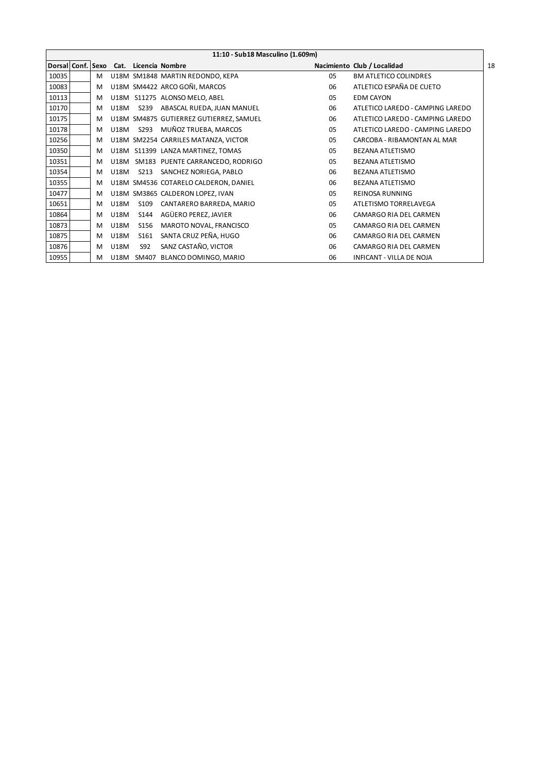|                   |   |             |      | 11:10 - Sub18 Masculino (1.609m)        |    |                                  |    |
|-------------------|---|-------------|------|-----------------------------------------|----|----------------------------------|----|
| Dorsal Conf. Sexo |   |             |      | Cat. Licencia Nombre                    |    | Nacimiento Club / Localidad      | 18 |
| 10035             | м |             |      | U18M SM1848 MARTIN REDONDO, KEPA        | 05 | <b>BM ATLETICO COLINDRES</b>     |    |
| 10083             | M |             |      | U18M SM4422 ARCO GOÑI, MARCOS           | 06 | ATLETICO ESPAÑA DE CUETO         |    |
| 10113             | M | U18M        |      | S11275 ALONSO MELO, ABEL                | 05 | <b>EDM CAYON</b>                 |    |
| 10170             | M | <b>U18M</b> | S239 | ABASCAL RUEDA, JUAN MANUEL              | 06 | ATLETICO LAREDO - CAMPING LAREDO |    |
| 10175             | M |             |      | U18M SM4875 GUTIERREZ GUTIERREZ, SAMUEL | 06 | ATLETICO LAREDO - CAMPING LAREDO |    |
| 10178             | M | <b>U18M</b> | S293 | MUÑOZ TRUEBA, MARCOS                    | 05 | ATLETICO LAREDO - CAMPING LAREDO |    |
| 10256             | M |             |      | U18M SM2254 CARRILES MATANZA, VICTOR    | 05 | CARCOBA - RIBAMONTAN AL MAR      |    |
| 10350             | M |             |      | U18M S11399 LANZA MARTINEZ, TOMAS       | 05 | <b>BEZANA ATLETISMO</b>          |    |
| 10351             | M | U18M        |      | SM183 PUENTE CARRANCEDO, RODRIGO        | 05 | <b>BEZANA ATLETISMO</b>          |    |
| 10354             | M | U18M        | S213 | SANCHEZ NORIEGA, PABLO                  | 06 | <b>BEZANA ATLETISMO</b>          |    |
| 10355             | M |             |      | U18M SM4536 COTARELO CALDERON, DANIEL   | 06 | <b>BEZANA ATLETISMO</b>          |    |
| 10477             | M |             |      | U18M SM3865 CALDERON LOPEZ, IVAN        | 05 | <b>REINOSA RUNNING</b>           |    |
| 10651             | M | <b>U18M</b> | S109 | CANTARERO BARREDA, MARIO                | 05 | ATLETISMO TORRELAVEGA            |    |
| 10864             | M | U18M        | S144 | AGÜERO PEREZ, JAVIER                    | 06 | CAMARGO RIA DEL CARMEN           |    |
| 10873             | M | U18M        | S156 | MAROTO NOVAL, FRANCISCO                 | 05 | CAMARGO RIA DEL CARMEN           |    |
| 10875             | M | <b>U18M</b> | S161 | SANTA CRUZ PEÑA, HUGO                   | 06 | CAMARGO RIA DEL CARMEN           |    |
| 10876             | M | <b>U18M</b> | S92  | SANZ CASTAÑO, VICTOR                    | 06 | CAMARGO RIA DEL CARMEN           |    |
| 10955             | М | U18M        |      | SM407 BLANCO DOMINGO, MARIO             | 06 | <b>INFICANT - VILLA DE NOJA</b>  |    |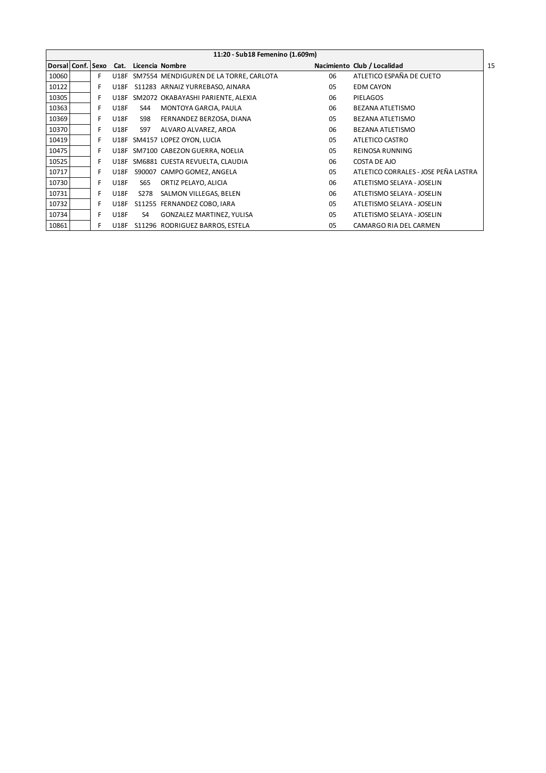|                   |   |             |                | 11:20 - Sub18 Femenino (1.609m)         |    |                                      |    |
|-------------------|---|-------------|----------------|-----------------------------------------|----|--------------------------------------|----|
| Dorsal Conf. Sexo |   | Cat.        |                | Licencia Nombre                         |    | Nacimiento Club / Localidad          | 15 |
| 10060             | F | U18F        |                | SM7554 MENDIGUREN DE LA TORRE, CARLOTA  | 06 | ATLETICO ESPAÑA DE CUETO             |    |
| 10122             | F | <b>U18F</b> |                | S11283 ARNAIZ YURREBASO, AINARA         | 05 | <b>EDM CAYON</b>                     |    |
| 10305             | F |             |                | U18F SM2072 OKABAYASHI PARIENTE, ALEXIA | 06 | <b>PIELAGOS</b>                      |    |
| 10363             | F | <b>U18F</b> | S44            | MONTOYA GARCIA, PAULA                   | 06 | <b>BEZANA ATLETISMO</b>              |    |
| 10369             | F | <b>U18F</b> | S98            | FERNANDEZ BERZOSA, DIANA                | 05 | BEZANA ATLETISMO                     |    |
| 10370             | F | <b>U18F</b> | S97            | ALVARO ALVAREZ, AROA                    | 06 | BEZANA ATLETISMO                     |    |
| 10419             | F | <b>U18F</b> |                | SM4157 LOPEZ OYON, LUCIA                | 05 | ATLETICO CASTRO                      |    |
| 10475             | F |             |                | U18F SM7100 CABEZON GUERRA, NOELIA      | 05 | REINOSA RUNNING                      |    |
| 10525             | F |             |                | U18F SM6881 CUESTA REVUELTA, CLAUDIA    | 06 | COSTA DE AJO                         |    |
| 10717             | F | <b>U18F</b> |                | S90007 CAMPO GOMEZ, ANGELA              | 05 | ATLETICO CORRALES - JOSE PEÑA LASTRA |    |
| 10730             | F | <b>U18F</b> | S65            | ORTIZ PELAYO, ALICIA                    | 06 | ATLETISMO SELAYA - JOSELIN           |    |
| 10731             | F | <b>U18F</b> | S278           | SALMON VILLEGAS, BELEN                  | 06 | ATLETISMO SELAYA - JOSELIN           |    |
| 10732             | F | <b>U18F</b> |                | S11255 FERNANDEZ COBO, IARA             | 05 | ATLETISMO SELAYA - JOSELIN           |    |
| 10734             | F | <b>U18F</b> | S <sub>4</sub> | <b>GONZALEZ MARTINEZ, YULISA</b>        | 05 | ATLETISMO SELAYA - JOSELIN           |    |
| 10861             | F | <b>U18F</b> |                | S11296 RODRIGUEZ BARROS, ESTELA         | 05 | CAMARGO RIA DEL CARMEN               |    |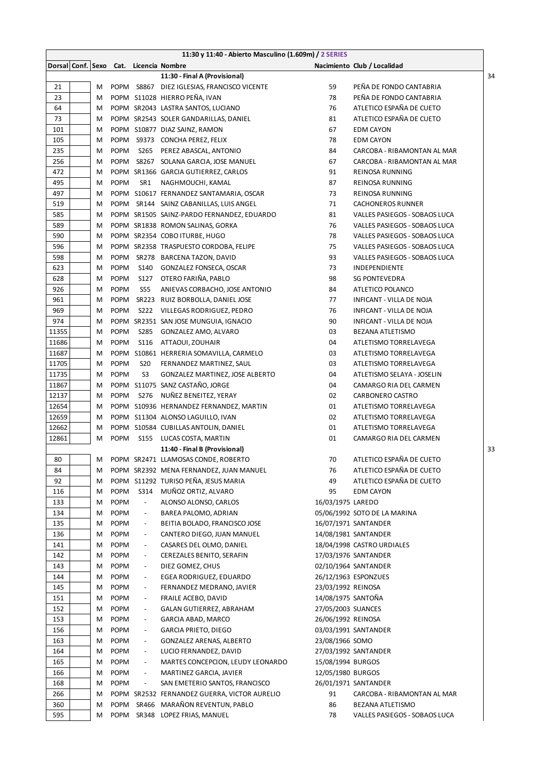|       |   |             |                          | 11:30 y 11:40 - Abierto Masculino (1.609m) / 2 SERIES |                    |                               |    |
|-------|---|-------------|--------------------------|-------------------------------------------------------|--------------------|-------------------------------|----|
|       |   |             |                          | Dorsal Conf. Sexo Cat. Licencia Nombre                |                    | Nacimiento Club / Localidad   |    |
|       |   |             |                          | 11:30 - Final A (Provisional)                         |                    |                               | 34 |
| 21    | М |             |                          | POPM S8867 DIEZ IGLESIAS, FRANCISCO VICENTE           | 59                 | PEÑA DE FONDO CANTABRIA       |    |
| 23    | M |             |                          | POPM S11028 HIERRO PEÑA, IVAN                         | 78                 | PEÑA DE FONDO CANTABRIA       |    |
| 64    | м |             |                          | POPM SR2043 LASTRA SANTOS, LUCIANO                    | 76                 | ATLETICO ESPAÑA DE CUETO      |    |
| 73    | м |             |                          | POPM SR2543 SOLER GANDARILLAS, DANIEL                 | 81                 | ATLETICO ESPAÑA DE CUETO      |    |
| 101   | м |             |                          | POPM S10877 DIAZ SAINZ, RAMON                         | 67                 | <b>EDM CAYON</b>              |    |
| 105   | м | <b>POPM</b> |                          | S9373 CONCHA PEREZ, FELIX                             | 78                 | <b>EDM CAYON</b>              |    |
| 235   | м | <b>POPM</b> | S265                     | PEREZ ABASCAL, ANTONIO                                | 84                 | CARCOBA - RIBAMONTAN AL MAR   |    |
| 256   | М | <b>POPM</b> |                          | S8267 SOLANA GARCIA, JOSE MANUEL                      | 67                 | CARCOBA - RIBAMONTAN AL MAR   |    |
| 472   | М |             |                          | POPM SR1366 GARCIA GUTIERREZ, CARLOS                  | 91                 | REINOSA RUNNING               |    |
| 495   | М | <b>POPM</b> | SR1                      | NAGHMOUCHI, KAMAL                                     | 87                 | <b>REINOSA RUNNING</b>        |    |
| 497   | М |             |                          | POPM S10617 FERNANDEZ SANTAMARIA, OSCAR               | 73                 | REINOSA RUNNING               |    |
| 519   | М |             |                          | POPM SR144 SAINZ CABANILLAS, LUIS ANGEL               | 71                 | <b>CACHONEROS RUNNER</b>      |    |
| 585   | М |             |                          | POPM SR1505 SAINZ-PARDO FERNANDEZ, EDUARDO            | 81                 | VALLES PASIEGOS - SOBAOS LUCA |    |
| 589   | М |             |                          | POPM SR1838 ROMON SALINAS, GORKA                      | 76                 | VALLES PASIEGOS - SOBAOS LUCA |    |
| 590   | М |             |                          | POPM SR2354 COBO ITURBE, HUGO                         | 78                 | VALLES PASIEGOS - SOBAOS LUCA |    |
| 596   | м |             |                          | POPM SR2358 TRASPUESTO CORDOBA, FELIPE                | 75                 | VALLES PASIEGOS - SOBAOS LUCA |    |
| 598   | м | POPM        |                          | SR278 BARCENA TAZON, DAVID                            | 93                 | VALLES PASIEGOS - SOBAOS LUCA |    |
| 623   | м | <b>POPM</b> | <b>S140</b>              | GONZALEZ FONSECA, OSCAR                               | 73                 | INDEPENDIENTE                 |    |
| 628   | м | <b>POPM</b> | S127                     | OTERO FARIÑA, PABLO                                   | 98                 | <b>SG PONTEVEDRA</b>          |    |
| 926   | м | <b>POPM</b> | <b>S55</b>               | ANIEVAS CORBACHO, JOSE ANTONIO                        | 84                 | ATLETICO POLANCO              |    |
| 961   | м | <b>POPM</b> |                          | SR223 RUIZ BORBOLLA, DANIEL JOSE                      | 77                 | INFICANT - VILLA DE NOJA      |    |
| 969   | М | <b>POPM</b> |                          | S222 VILLEGAS RODRIGUEZ, PEDRO                        | 76                 | INFICANT - VILLA DE NOJA      |    |
| 974   | М |             |                          | POPM SR2351 SAN JOSE MUNGUIA, IGNACIO                 | 90                 | INFICANT - VILLA DE NOJA      |    |
| 11355 | М | <b>POPM</b> | S285                     | GONZALEZ AMO, ALVARO                                  | 03                 | <b>BEZANA ATLETISMO</b>       |    |
| 11686 | М | <b>POPM</b> | <b>S116</b>              | ATTAOUI, ZOUHAIR                                      | 04                 | ATLETISMO TORRELAVEGA         |    |
| 11687 | М |             |                          | POPM S10861 HERRERIA SOMAVILLA, CARMELO               | 03                 | ATLETISMO TORRELAVEGA         |    |
| 11705 | М | POPM        | <b>S20</b>               | FERNANDEZ MARTINEZ, SAUL                              | 03                 | ATLETISMO TORRELAVEGA         |    |
| 11735 | М | <b>POPM</b> | S <sub>3</sub>           | GONZALEZ MARTINEZ, JOSE ALBERTO                       | 04                 | ATLETISMO SELAYA - JOSELIN    |    |
| 11867 | М |             |                          | POPM S11075 SANZ CASTAÑO, JORGE                       | 04                 | CAMARGO RIA DEL CARMEN        |    |
| 12137 | М | <b>POPM</b> | S276                     | NUÑEZ BENEITEZ, YERAY                                 | 02                 | CARBONERO CASTRO              |    |
| 12654 | м |             |                          | POPM S10936 HERNANDEZ FERNANDEZ, MARTIN               | 01                 | ATLETISMO TORRELAVEGA         |    |
| 12659 | м |             |                          | POPM S11304 ALONSO LAGUILLO, IVAN                     | 02                 | ATLETISMO TORRELAVEGA         |    |
| 12662 | м |             |                          | POPM S10584 CUBILLAS ANTOLIN, DANIEL                  | 01                 | ATLETISMO TORRELAVEGA         |    |
| 12861 | Μ | <b>POPM</b> |                          | S155 LUCAS COSTA, MARTIN                              | 01                 | CAMARGO RIA DEL CARMEN        |    |
|       |   |             |                          | 11:40 - Final B (Provisional)                         |                    |                               | 33 |
| 80    | М |             |                          | POPM SR2471 LLAMOSAS CONDE, ROBERTO                   | 70                 | ATLETICO ESPAÑA DE CUETO      |    |
| 84    | М |             |                          | POPM SR2392 MENA FERNANDEZ, JUAN MANUEL               | 76                 | ATLETICO ESPAÑA DE CUETO      |    |
| 92    |   |             |                          | POPM S11292 TURISO PEÑA, JESUS MARIA                  | 49                 | ATLETICO ESPAÑA DE CUETO      |    |
|       | М |             | S314                     | MUÑOZ ORTIZ, ALVARO                                   | 95                 |                               |    |
| 116   | M | <b>POPM</b> | $\blacksquare$           | ALONSO ALONSO, CARLOS                                 |                    | <b>EDM CAYON</b>              |    |
| 133   | М | <b>POPM</b> |                          |                                                       | 16/03/1975 LAREDO  |                               |    |
| 134   | M | <b>POPM</b> | $\overline{\phantom{a}}$ | BAREA PALOMO, ADRIAN                                  |                    | 05/06/1992 SOTO DE LA MARINA  |    |
| 135   | M | <b>POPM</b> | $\overline{\phantom{a}}$ | BEITIA BOLADO, FRANCISCO JOSE                         |                    | 16/07/1971 SANTANDER          |    |
| 136   | M | <b>POPM</b> | $\overline{\phantom{a}}$ | CANTERO DIEGO, JUAN MANUEL                            |                    | 14/08/1981 SANTANDER          |    |
| 141   | M | POPM        | $\overline{\phantom{a}}$ | CASARES DEL OLMO, DANIEL                              |                    | 18/04/1998 CASTRO URDIALES    |    |
| 142   | M | <b>POPM</b> | $\overline{\phantom{a}}$ | CEREZALES BENITO, SERAFIN                             |                    | 17/03/1976 SANTANDER          |    |
| 143   | M | POPM        | $\overline{\phantom{a}}$ | DIEZ GOMEZ, CHUS                                      |                    | 02/10/1964 SANTANDER          |    |
| 144   | м | POPM        | $\overline{\phantom{a}}$ | EGEA RODRIGUEZ, EDUARDO                               |                    | 26/12/1963 ESPONZUES          |    |
| 145   | м | POPM        | $\overline{\phantom{a}}$ | FERNANDEZ MEDRANO, JAVIER                             | 23/03/1992 REINOSA |                               |    |
| 151   | M | POPM        | $\overline{\phantom{a}}$ | FRAILE ACEBO, DAVID                                   | 14/08/1975 SANTOÑA |                               |    |
| 152   | м | POPM        | $\overline{\phantom{a}}$ | GALAN GUTIERREZ, ABRAHAM                              | 27/05/2003 SUANCES |                               |    |
| 153   | M | POPM        | $\overline{\phantom{a}}$ | GARCIA ABAD, MARCO                                    | 26/06/1992 REINOSA |                               |    |
| 156   | M | POPM        | $\overline{\phantom{a}}$ | <b>GARCIA PRIETO, DIEGO</b>                           |                    | 03/03/1991 SANTANDER          |    |
| 163   | M | <b>POPM</b> | $\overline{\phantom{a}}$ | GONZALEZ ARENAS, ALBERTO                              | 23/08/1966 SOMO    |                               |    |
| 164   | M | <b>POPM</b> | $\overline{\phantom{a}}$ | LUCIO FERNANDEZ, DAVID                                |                    | 27/03/1992 SANTANDER          |    |
| 165   | М | <b>POPM</b> | $\overline{\phantom{a}}$ | MARTES CONCEPCION, LEUDY LEONARDO                     | 15/08/1994 BURGOS  |                               |    |
| 166   | М | <b>POPM</b> | $\overline{\phantom{a}}$ | MARTINEZ GARCIA, JAVIER                               | 12/05/1980 BURGOS  |                               |    |
| 168   | M | <b>POPM</b> | $\blacksquare$           | SAN EMETERIO SANTOS, FRANCISCO                        |                    | 26/01/1971 SANTANDER          |    |
| 266   | М |             |                          | POPM SR2532 FERNANDEZ GUERRA, VICTOR AURELIO          | 91                 | CARCOBA - RIBAMONTAN AL MAR   |    |
| 360   | M | POPM        |                          | SR466 MARAÑON REVENTUN, PABLO                         | 86                 | BEZANA ATLETISMO              |    |
| 595   | м |             |                          | POPM SR348 LOPEZ FRIAS, MANUEL                        | 78                 | VALLES PASIEGOS - SOBAOS LUCA |    |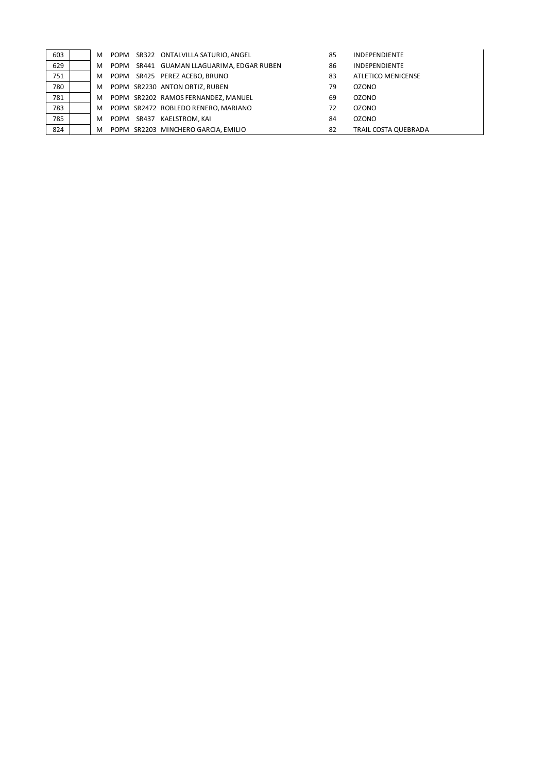| 603 | м |      |       | POPM SR322 ONTALVILLA SATURIO, ANGEL | 85 | <b>INDEPENDIENTE</b> |
|-----|---|------|-------|--------------------------------------|----|----------------------|
| 629 | м | POPM |       | SR441 GUAMAN LLAGUARIMA, EDGAR RUBEN | 86 | <b>INDEPENDIENTE</b> |
| 751 | м | POPM |       | SR425 PEREZ ACEBO, BRUNO             | 83 | ATLETICO MENICENSE   |
| 780 | м |      |       | POPM SR2230 ANTON ORTIZ, RUBEN       | 79 | <b>OZONO</b>         |
| 781 | м |      |       | POPM SR2202 RAMOS FERNANDEZ, MANUEL  | 69 | <b>OZONO</b>         |
| 783 | м |      |       | POPM SR2472 ROBLEDO RENERO, MARIANO  | 72 | <b>OZONO</b>         |
| 785 | м | POPM | SR437 | KAELSTROM, KAI                       | 84 | <b>OZONO</b>         |
| 824 | м |      |       | POPM SR2203 MINCHERO GARCIA, EMILIO  | 82 | TRAIL COSTA QUEBRADA |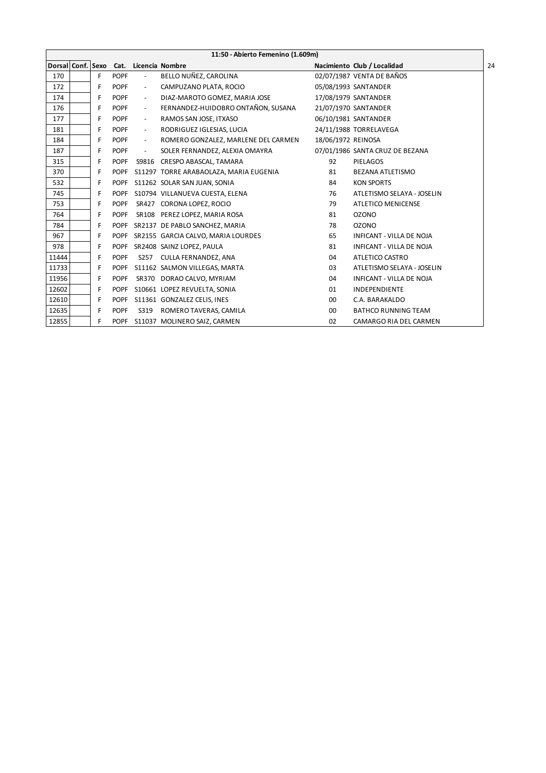|                   | 11:50 - Abierto Femenino (1.609m) |    |             |                          |                                        |                    |                                 |    |  |  |  |
|-------------------|-----------------------------------|----|-------------|--------------------------|----------------------------------------|--------------------|---------------------------------|----|--|--|--|
| Dorsal Conf. Sexo |                                   |    | Cat.        |                          | Licencia Nombre                        |                    | Nacimiento Club / Localidad     | 24 |  |  |  |
| 170               |                                   | F. | <b>POPF</b> | $\overline{\phantom{a}}$ | BELLO NUÑEZ, CAROLINA                  |                    | 02/07/1987 VENTA DE BAÑOS       |    |  |  |  |
| 172               |                                   | F  | <b>POPF</b> | $\overline{\phantom{a}}$ | CAMPUZANO PLATA, ROCIO                 |                    | 05/08/1993 SANTANDER            |    |  |  |  |
| 174               |                                   | F  | <b>POPF</b> | $\overline{\phantom{a}}$ | DIAZ-MAROTO GOMEZ, MARIA JOSE          |                    | 17/08/1979 SANTANDER            |    |  |  |  |
| 176               |                                   | F  | <b>POPF</b> | $\overline{\phantom{a}}$ | FERNANDEZ-HUIDOBRO ONTAÑON, SUSANA     |                    | 21/07/1970 SANTANDER            |    |  |  |  |
| 177               |                                   | F  | <b>POPF</b> | $\overline{\phantom{a}}$ | RAMOS SAN JOSE, ITXASO                 |                    | 06/10/1981 SANTANDER            |    |  |  |  |
| 181               |                                   | F  | <b>POPF</b> | $\overline{\phantom{a}}$ | RODRIGUEZ IGLESIAS, LUCIA              |                    | 24/11/1988 TORRELAVEGA          |    |  |  |  |
| 184               |                                   | F  | <b>POPF</b> | $\sim$                   | ROMERO GONZALEZ, MARLENE DEL CARMEN    | 18/06/1972 REINOSA |                                 |    |  |  |  |
| 187               |                                   | F  | <b>POPF</b> | $\overline{\phantom{a}}$ | SOLER FERNANDEZ, ALEXIA OMAYRA         |                    | 07/01/1986 SANTA CRUZ DE BEZANA |    |  |  |  |
| 315               |                                   | F  | <b>POPF</b> | S9816                    | CRESPO ABASCAL, TAMARA                 | 92                 | <b>PIELAGOS</b>                 |    |  |  |  |
| 370               |                                   | F  | <b>POPF</b> |                          | S11297 TORRE ARABAOLAZA, MARIA EUGENIA | 81                 | <b>BEZANA ATLETISMO</b>         |    |  |  |  |
| 532               |                                   | F  | <b>POPF</b> |                          | S11262 SOLAR SAN JUAN, SONIA           | 84                 | <b>KON SPORTS</b>               |    |  |  |  |
| 745               |                                   | F  | <b>POPF</b> |                          | S10794 VILLANUEVA CUESTA, ELENA        | 76                 | ATLETISMO SELAYA - JOSELIN      |    |  |  |  |
| 753               |                                   | F  | <b>POPF</b> |                          | SR427 CORONA LOPEZ, ROCIO              | 79                 | <b>ATLETICO MENICENSE</b>       |    |  |  |  |
| 764               |                                   | F  | <b>POPF</b> |                          | SR108 PEREZ LOPEZ, MARIA ROSA          | 81                 | <b>OZONO</b>                    |    |  |  |  |
| 784               |                                   | F  | <b>POPF</b> |                          | SR2137 DE PABLO SANCHEZ, MARIA         | 78                 | <b>OZONO</b>                    |    |  |  |  |
| 967               |                                   | F  | <b>POPF</b> |                          | SR2155 GARCIA CALVO, MARIA LOURDES     | 65                 | <b>INFICANT - VILLA DE NOJA</b> |    |  |  |  |
| 978               |                                   | F  | <b>POPF</b> |                          | SR2408 SAINZ LOPEZ, PAULA              | 81                 | <b>INFICANT - VILLA DE NOJA</b> |    |  |  |  |
| 11444             |                                   | F  | <b>POPF</b> | S257                     | CULLA FERNANDEZ, ANA                   | 04                 | ATLETICO CASTRO                 |    |  |  |  |
| 11733             |                                   | F  | <b>POPF</b> |                          | S11162 SALMON VILLEGAS, MARTA          | 03                 | ATLETISMO SELAYA - JOSELIN      |    |  |  |  |
| 11956             |                                   | F  | <b>POPF</b> |                          | SR370 DORAO CALVO, MYRIAM              | 04                 | <b>INFICANT - VILLA DE NOJA</b> |    |  |  |  |
| 12602             |                                   | F  | <b>POPF</b> |                          | S10661 LOPEZ REVUELTA, SONIA           | 01                 | <b>INDEPENDIENTE</b>            |    |  |  |  |
| 12610             |                                   | F  | <b>POPF</b> |                          | S11361 GONZALEZ CELIS, INES            | 00                 | C.A. BARAKALDO                  |    |  |  |  |
| 12635             |                                   | F  | <b>POPF</b> | S319                     | ROMERO TAVERAS, CAMILA                 | 00                 | <b>BATHCO RUNNING TEAM</b>      |    |  |  |  |
| 12855             |                                   | F  | <b>POPF</b> |                          | S11037 MOLINERO SAIZ, CARMEN           | 02                 | CAMARGO RIA DEL CARMEN          |    |  |  |  |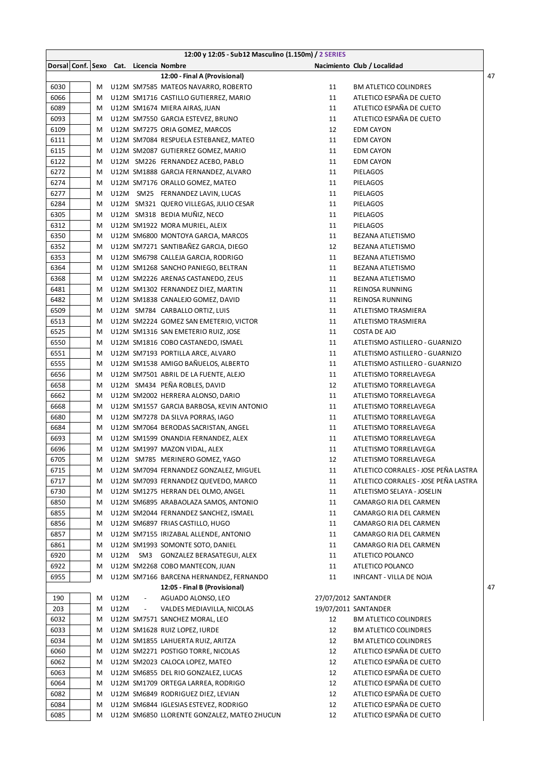|              |        |      |                          | 12:00 y 12:05 - Sub12 Masculino (1.150m) / 2 SERIES                      |          |                                                         |    |
|--------------|--------|------|--------------------------|--------------------------------------------------------------------------|----------|---------------------------------------------------------|----|
|              |        |      |                          | Dorsal Conf. Sexo Cat. Licencia Nombre                                   |          | Nacimiento Club / Localidad                             |    |
|              |        |      |                          | 12:00 - Final A (Provisional)                                            |          |                                                         | 47 |
| 6030         | M      |      |                          | U12M SM7585 MATEOS NAVARRO, ROBERTO                                      | 11       | <b>BM ATLETICO COLINDRES</b>                            |    |
| 6066         | M      |      |                          | U12M SM1716 CASTILLO GUTIERREZ, MARIO                                    | 11       | ATLETICO ESPAÑA DE CUETO                                |    |
| 6089         | M      |      |                          | U12M SM1674 MIERA AIRAS, JUAN                                            | 11       | ATLETICO ESPAÑA DE CUETO                                |    |
| 6093         | M      |      |                          | U12M SM7550 GARCIA ESTEVEZ, BRUNO                                        | 11       | ATLETICO ESPAÑA DE CUETO                                |    |
| 6109         | M      |      |                          | U12M SM7275 ORIA GOMEZ, MARCOS                                           | 12       | <b>EDM CAYON</b>                                        |    |
| 6111         | M      |      |                          | U12M SM7084 RESPUELA ESTEBANEZ, MATEO                                    | 11       | <b>EDM CAYON</b>                                        |    |
| 6115         | M      |      |                          | U12M SM2087 GUTIERREZ GOMEZ, MARIO                                       | 11       | <b>EDM CAYON</b>                                        |    |
| 6122         | M      |      |                          | U12M SM226 FERNANDEZ ACEBO, PABLO                                        | 11       | <b>EDM CAYON</b>                                        |    |
| 6272         | м      |      |                          | U12M SM1888 GARCIA FERNANDEZ, ALVARO                                     | 11       | PIELAGOS                                                |    |
| 6274         | M      |      |                          | U12M SM7176 ORALLO GOMEZ, MATEO                                          | 11       | <b>PIELAGOS</b>                                         |    |
| 6277         | M      |      |                          | U12M SM25 FERNANDEZ LAVIN, LUCAS                                         | 11       | PIELAGOS                                                |    |
| 6284         | M      |      |                          | U12M SM321 QUERO VILLEGAS, JULIO CESAR                                   | 11       | PIELAGOS                                                |    |
| 6305         | M      |      |                          | U12M SM318 BEDIA MUÑIZ, NECO                                             | 11       | PIELAGOS                                                |    |
| 6312         | M      |      |                          | U12M SM1922 MORA MURIEL, ALEIX                                           | 11       | PIELAGOS                                                |    |
| 6350         | M      |      |                          | U12M SM6800 MONTOYA GARCIA, MARCOS                                       | 11       | <b>BEZANA ATLETISMO</b>                                 |    |
| 6352         | M      |      |                          | U12M SM7271 SANTIBAÑEZ GARCIA, DIEGO                                     | 12       | <b>BEZANA ATLETISMO</b>                                 |    |
| 6353         | M      |      |                          | U12M SM6798 CALLEJA GARCIA, RODRIGO                                      | 11       | BEZANA ATLETISMO                                        |    |
| 6364         | M      |      |                          | U12M SM1268 SANCHO PANIEGO, BELTRAN                                      | 11       | BEZANA ATLETISMO                                        |    |
| 6368         | M      |      |                          | U12M SM2226 ARENAS CASTANEDO, ZEUS                                       | 11       | <b>BEZANA ATLETISMO</b>                                 |    |
| 6481         | M      |      |                          | U12M SM1302 FERNANDEZ DIEZ, MARTIN                                       | 11       | REINOSA RUNNING                                         |    |
| 6482         | M      |      |                          | U12M SM1838 CANALEJO GOMEZ, DAVID                                        | 11       | REINOSA RUNNING                                         |    |
| 6509         | M      |      |                          | U12M SM784 CARBALLO ORTIZ, LUIS                                          | 11       | ATLETISMO TRASMIERA                                     |    |
| 6513         | M      |      |                          | U12M SM2224 GOMEZ SAN EMETERIO, VICTOR                                   | 11       | ATLETISMO TRASMIERA                                     |    |
| 6525         | M      |      |                          | U12M SM1316 SAN EMETERIO RUIZ, JOSE                                      | 11       | COSTA DE AJO                                            |    |
| 6550<br>6551 | M      |      |                          | U12M SM1816 COBO CASTANEDO, ISMAEL                                       | 11<br>11 | ATLETISMO ASTILLERO - GUARNIZO                          |    |
| 6555         | M      |      |                          | U12M SM7193 PORTILLA ARCE, ALVARO<br>U12M SM1538 AMIGO BAÑUELOS, ALBERTO | 11       | ATLETISMO ASTILLERO - GUARNIZO                          |    |
| 6656         | M      |      |                          | U12M SM7501 ABRIL DE LA FUENTE, ALEJO                                    | 11       | ATLETISMO ASTILLERO - GUARNIZO<br>ATLETISMO TORRELAVEGA |    |
| 6658         | M<br>M |      |                          | U12M SM434 PEÑA ROBLES, DAVID                                            | 12       | ATLETISMO TORRELAVEGA                                   |    |
| 6662         | M      |      |                          | U12M SM2002 HERRERA ALONSO, DARIO                                        | 11       | ATLETISMO TORRELAVEGA                                   |    |
| 6668         | M      |      |                          | U12M SM1557 GARCIA BARBOSA, KEVIN ANTONIO                                | 11       | ATLETISMO TORRELAVEGA                                   |    |
| 6680         | M      |      |                          | U12M SM7278 DA SILVA PORRAS, IAGO                                        | 11       | ATLETISMO TORRELAVEGA                                   |    |
| 6684         | M      |      |                          | U12M SM7064 BERODAS SACRISTAN, ANGEL                                     | 11       | ATLETISMO TORRELAVEGA                                   |    |
| 6693         | M      |      |                          | U12M SM1599 ONANDIA FERNANDEZ, ALEX                                      | 11       | ATLETISMO TORRELAVEGA                                   |    |
| 6696         | M      |      |                          | U12M SM1997 MAZON VIDAL, ALEX                                            | 11       | ATLETISMO TORRELAVEGA                                   |    |
| 6705         | M      |      |                          | U12M SM785 MERINERO GOMEZ, YAGO                                          | 12       | ATLETISMO TORRELAVEGA                                   |    |
| 6715         | M      |      |                          | U12M SM7094 FERNANDEZ GONZALEZ, MIGUEL                                   | 11       | ATLETICO CORRALES - JOSE PEÑA LASTRA                    |    |
| 6717         | M      |      |                          | U12M SM7093 FERNANDEZ QUEVEDO, MARCO                                     | 11       | ATLETICO CORRALES - JOSE PEÑA LASTRA                    |    |
| 6730         | M      |      |                          | U12M SM1275 HERRAN DEL OLMO, ANGEL                                       | 11       | ATLETISMO SELAYA - JOSELIN                              |    |
| 6850         | M      |      |                          | U12M SM6895 ARABAOLAZA SAMOS, ANTONIO                                    | 11       | CAMARGO RIA DEL CARMEN                                  |    |
| 6855         | M      |      |                          | U12M SM2044 FERNANDEZ SANCHEZ, ISMAEL                                    | 11       | CAMARGO RIA DEL CARMEN                                  |    |
| 6856         | M      |      |                          | U12M SM6897 FRIAS CASTILLO, HUGO                                         | 11       | CAMARGO RIA DEL CARMEN                                  |    |
| 6857         | M      |      |                          | U12M SM7155 IRIZABAL ALLENDE, ANTONIO                                    | 11       | CAMARGO RIA DEL CARMEN                                  |    |
| 6861         | M      |      |                          | U12M SM1993 SOMONTE SOTO, DANIEL                                         | 11       | CAMARGO RIA DEL CARMEN                                  |    |
| 6920         | M      | U12M |                          | SM3 GONZALEZ BERASATEGUI, ALEX                                           | 11       | ATLETICO POLANCO                                        |    |
| 6922         | M      |      |                          | U12M SM2268 COBO MANTECON, JUAN                                          | 11       | ATLETICO POLANCO                                        |    |
| 6955         | M      |      |                          | U12M SM7166 BARCENA HERNANDEZ, FERNANDO                                  | 11       | INFICANT - VILLA DE NOJA                                |    |
|              |        |      |                          | 12:05 - Final B (Provisional)                                            |          |                                                         | 47 |
| 190          | M      | U12M | $\overline{\phantom{a}}$ | AGUADO ALONSO, LEO                                                       |          | 27/07/2012 SANTANDER                                    |    |
| 203          | M      | U12M | $\overline{\phantom{a}}$ | VALDES MEDIAVILLA, NICOLAS                                               |          | 19/07/2011 SANTANDER                                    |    |
| 6032         | M      |      |                          | U12M SM7571 SANCHEZ MORAL, LEO                                           | 12       | <b>BM ATLETICO COLINDRES</b>                            |    |
| 6033         | M      |      |                          | U12M SM1628 RUIZ LOPEZ, IURDE                                            | 12       | <b>BM ATLETICO COLINDRES</b>                            |    |
| 6034         | M      |      |                          | U12M SM1855 LAHUERTA RUIZ, ARITZA                                        | 12       | <b>BM ATLETICO COLINDRES</b>                            |    |
| 6060         | M      |      |                          | U12M SM2271 POSTIGO TORRE, NICOLAS                                       | 12       | ATLETICO ESPAÑA DE CUETO                                |    |
| 6062         | M      |      |                          | U12M SM2023 CALOCA LOPEZ, MATEO                                          | 12       | ATLETICO ESPAÑA DE CUETO                                |    |
| 6063         | M      |      |                          | U12M SM6855 DEL RIO GONZALEZ, LUCAS                                      | 12       | ATLETICO ESPAÑA DE CUETO                                |    |
| 6064         | M      |      |                          | U12M SM1709 ORTEGA LARREA, RODRIGO                                       | 12       | ATLETICO ESPAÑA DE CUETO                                |    |
| 6082         | M      |      |                          | U12M SM6849 RODRIGUEZ DIEZ, LEVIAN                                       | 12       | ATLETICO ESPAÑA DE CUETO                                |    |
| 6084         | M      |      |                          | U12M SM6844 IGLESIAS ESTEVEZ, RODRIGO                                    | 12       | ATLETICO ESPAÑA DE CUETO                                |    |
| 6085         | M      |      |                          | U12M SM6850 LLORENTE GONZALEZ, MATEO ZHUCUN                              | 12       | ATLETICO ESPAÑA DE CUETO                                |    |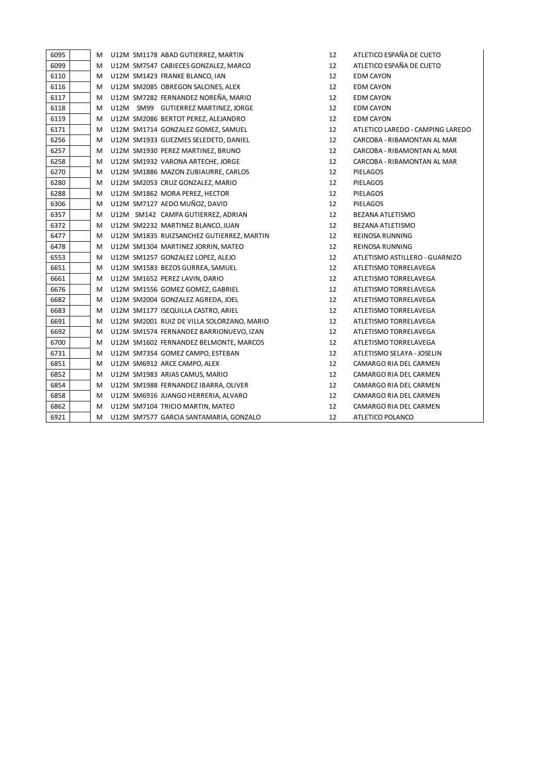| 6095 | М | U12M SM1178 ABAD GUTIERREZ, MARTIN         | 12 | ATLETICO ESPAÑA DE CUETO         |
|------|---|--------------------------------------------|----|----------------------------------|
| 6099 | м | U12M SM7547 CABIECES GONZALEZ, MARCO       | 12 | ATLETICO ESPAÑA DE CUETO         |
| 6110 | м | U12M SM1423 FRANKE BLANCO, IAN             | 12 | EDM CAYON                        |
| 6116 | M | U12M SM2085 OBREGON SALCINES, ALEX         | 12 | <b>EDM CAYON</b>                 |
| 6117 | M | U12M SM7282 FERNANDEZ NOREÑA, MARIO        | 12 | EDM CAYON                        |
| 6118 | M | U12M SM99 GUTIERREZ MARTINEZ, JORGE        | 12 | <b>EDM CAYON</b>                 |
| 6119 | м | U12M SM2086 BERTOT PEREZ, ALEJANDRO        | 12 | <b>EDM CAYON</b>                 |
| 6171 | м | U12M SM1714 GONZALEZ GOMEZ, SAMUEL         | 12 | ATLETICO LAREDO - CAMPING LAREDO |
| 6256 | М | U12M SM1933 GUEZMES SELEDETD, DANIEL       | 12 | CARCOBA - RIBAMONTAN AL MAR      |
| 6257 | M | U12M SM1930 PEREZ MARTINEZ, BRUNO          | 12 | CARCOBA - RIBAMONTAN AL MAR      |
| 6258 | M | U12M SM1932 VARONA ARTECHE, JORGE          | 12 | CARCOBA - RIBAMONTAN AL MAR      |
| 6270 | М | U12M SM1886 MAZON ZUBIAURRE, CARLOS        | 12 | PIELAGOS                         |
| 6280 | м | U12M SM2053 CRUZ GONZALEZ, MARIO           | 12 | PIELAGOS                         |
| 6288 | м | U12M SM1862 MORA PEREZ, HECTOR             | 12 | PIELAGOS                         |
| 6306 | M | U12M SM7127 AEDO MUÑOZ, DAVID              | 12 | PIELAGOS                         |
| 6357 | М | U12M SM142 CAMPA GUTIERREZ, ADRIAN         | 12 | BEZANA ATLETISMO                 |
| 6372 | М | U12M SM2232 MARTINEZ BLANCO, JUAN          | 12 | BEZANA ATLETISMO                 |
| 6477 | м | U12M SM1835 RUIZSANCHEZ GUTIERREZ, MARTIN  | 12 | <b>REINOSA RUNNING</b>           |
| 6478 | м | U12M SM1304 MARTINEZ JORRIN, MATEO         | 12 | REINOSA RUNNING                  |
| 6553 | м | U12M SM1257 GONZALEZ LOPEZ, ALEJO          | 12 | ATLETISMO ASTILLERO - GUARNIZO   |
| 6651 | M | U12M SM1583 BEZOS GURREA, SAMUEL           | 12 | ATLETISMO TORRELAVEGA            |
| 6661 | M | U12M SM1652 PEREZ LAVIN, DARIO             | 12 | ATLETISMO TORRELAVEGA            |
| 6676 | М | U12M SM1556 GOMEZ GOMEZ, GABRIEL           | 12 | ATLETISMO TORRELAVEGA            |
| 6682 | М | U12M SM2004 GONZALEZ AGREDA, JOEL          | 12 | ATLETISMO TORRELAVEGA            |
| 6683 | М | U12M SM1177 ISEQUILLA CASTRO, ARIEL        | 12 | ATLETISMO TORRELAVEGA            |
| 6691 | M | U12M SM2001 RUIZ DE VILLA SOLORZANO, MARIO | 12 | ATLETISMO TORRELAVEGA            |
| 6692 | M | U12M SM1574 FERNANDEZ BARRIONUEVO, IZAN    | 12 | ATLETISMO TORRELAVEGA            |
| 6700 | М | U12M SM1602 FERNANDEZ BELMONTE, MARCOS     | 12 | ATLETISMO TORRELAVEGA            |
| 6731 | м | U12M SM7354 GOMEZ CAMPO, ESTEBAN           | 12 | ATLETISMO SELAYA - JOSELIN       |
| 6851 | м | U12M SM6912 ARCE CAMPO, ALEX               | 12 | CAMARGO RIA DEL CARMEN           |
| 6852 | М | U12M SM1983 ARIAS CAMUS, MARIO             | 12 | CAMARGO RIA DEL CARMEN           |
| 6854 | М | U12M SM1988 FERNANDEZ IBARRA, OLIVER       | 12 | CAMARGO RIA DEL CARMEN           |
| 6858 | М | U12M SM6916 JUANGO HERRERIA, ALVARO        | 12 | CAMARGO RIA DEL CARMEN           |
| 6862 | М | U12M SM7104 TRICIO MARTIN, MATEO           | 12 | CAMARGO RIA DEL CARMEN           |
| 6921 | м | U12M SM7577 GARCIA SANTAMARIA, GONZALO     | 12 | ATLETICO POLANCO                 |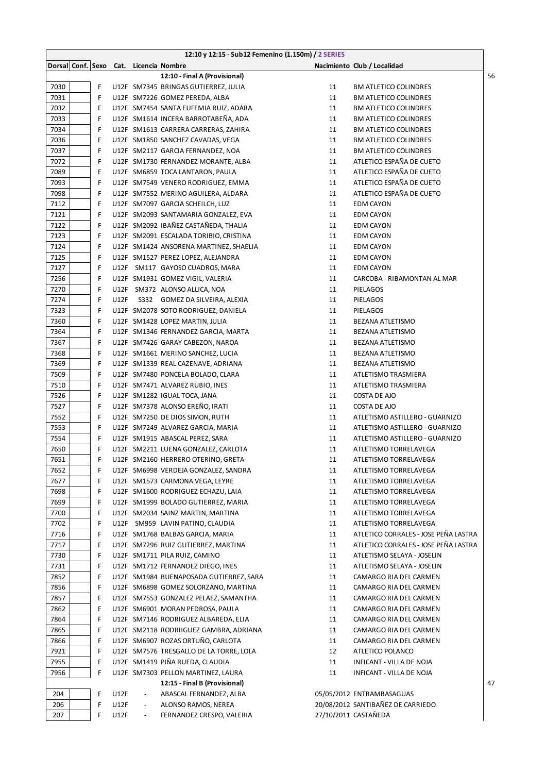|              |        |             |                                        | 12:10 y 12:15 - Sub12 Femenino (1.150m) / 2 SERIES                   |          |                                                               |    |
|--------------|--------|-------------|----------------------------------------|----------------------------------------------------------------------|----------|---------------------------------------------------------------|----|
|              |        |             | Dorsal Conf. Sexo Cat. Licencia Nombre |                                                                      |          | Nacimiento Club / Localidad                                   |    |
|              |        |             |                                        | 12:10 - Final A (Provisional)                                        |          |                                                               | 56 |
| 7030         | F      |             |                                        | U12F SM7345 BRINGAS GUTIERREZ, JULIA                                 | 11       | <b>BM ATLETICO COLINDRES</b>                                  |    |
| 7031         | F      |             |                                        | U12F SM7226 GOMEZ PEREDA, ALBA                                       | 11       | <b>BM ATLETICO COLINDRES</b>                                  |    |
| 7032         | F      |             |                                        | U12F SM7454 SANTA EUFEMIA RUIZ, ADARA                                | 11       | <b>BM ATLETICO COLINDRES</b>                                  |    |
| 7033         | F      |             |                                        | U12F SM1614 INCERA BARROTABEÑA, ADA                                  | 11       | <b>BM ATLETICO COLINDRES</b>                                  |    |
| 7034         | F      |             |                                        | U12F SM1613 CARRERA CARRERAS, ZAHIRA                                 | 11       | <b>BM ATLETICO COLINDRES</b>                                  |    |
| 7036         | F      |             |                                        | U12F SM1850 SANCHEZ CAVADAS, VEGA                                    | 11       | <b>BM ATLETICO COLINDRES</b>                                  |    |
| 7037         | F      |             |                                        | U12F SM2117 GARCIA FERNANDEZ, NOA                                    | 11       | <b>BM ATLETICO COLINDRES</b>                                  |    |
| 7072         | F      |             |                                        | U12F SM1730 FERNANDEZ MORANTE, ALBA                                  | 11       | ATLETICO ESPAÑA DE CUETO                                      |    |
| 7089         | F      |             |                                        | U12F SM6859 TOCA LANTARON, PAULA                                     | 11       | ATLETICO ESPAÑA DE CUETO                                      |    |
| 7093         | F      |             |                                        | U12F SM7549 VENERO RODRIGUEZ, EMMA                                   | 11       | ATLETICO ESPAÑA DE CUETO                                      |    |
| 7098         | F      |             |                                        | U12F SM7552 MERINO AGUILERA, ALDARA                                  | 11       | ATLETICO ESPAÑA DE CUETO                                      |    |
| 7112         | F      |             |                                        | U12F SM7097 GARCIA SCHEILCH, LUZ                                     | 11       | <b>EDM CAYON</b>                                              |    |
| 7121         | F      |             |                                        | U12F SM2093 SANTAMARIA GONZALEZ, EVA                                 | 11       | <b>EDM CAYON</b>                                              |    |
| 7122         | F      |             |                                        | U12F SM2092 IBAÑEZ CASTAÑEDA, THALIA                                 | 11       | <b>EDM CAYON</b>                                              |    |
| 7123         | F      |             |                                        | U12F SM2091 ESCALADA TORIBIO, CRISTINA                               | 11       | <b>EDM CAYON</b>                                              |    |
| 7124         | F      |             |                                        | U12F SM1424 ANSORENA MARTINEZ, SHAELIA                               | 11       | <b>EDM CAYON</b>                                              |    |
| 7125         | F      |             |                                        | U12F SM1527 PEREZ LOPEZ, ALEJANDRA                                   | 11       | <b>EDM CAYON</b>                                              |    |
| 7127         | F      |             |                                        | U12F SM117 GAYOSO CUADROS, MARA                                      | 11       | <b>EDM CAYON</b>                                              |    |
| 7256         | F      |             |                                        | U12F SM1931 GOMEZ VIGIL, VALERIA                                     | 11       | CARCOBA - RIBAMONTAN AL MAR                                   |    |
| 7270         | F      |             |                                        | U12F SM372 ALONSO ALLICA, NOA                                        | 11       | <b>PIELAGOS</b>                                               |    |
| 7274         | F      | <b>U12F</b> |                                        | S332 GOMEZ DA SILVEIRA, ALEXIA                                       | 11       | PIELAGOS                                                      |    |
| 7323         | F      |             |                                        | U12F SM2078 SOTO RODRIGUEZ, DANIELA                                  | 11       | PIELAGOS                                                      |    |
| 7360         | F      |             |                                        | U12F SM1428 LOPEZ MARTIN, JULIA                                      | 11       | BEZANA ATLETISMO                                              |    |
| 7364         | F      |             |                                        | U12F SM1346 FERNANDEZ GARCIA, MARTA                                  | 11       | BEZANA ATLETISMO                                              |    |
| 7367         | F      |             |                                        | U12F SM7426 GARAY CABEZON, NAROA                                     | 11       | BEZANA ATLETISMO                                              |    |
| 7368         | F      |             |                                        | U12F SM1661 MERINO SANCHEZ, LUCIA                                    | 11       | BEZANA ATLETISMO                                              |    |
| 7369         | F      |             |                                        | U12F SM1339 REAL CAZENAVE, ADRIANA                                   | 11       | <b>BEZANA ATLETISMO</b>                                       |    |
| 7509         | F      |             |                                        | U12F SM7480 PONCELA BOLADO, CLARA                                    | 11       | ATLETISMO TRASMIERA                                           |    |
| 7510         | F      |             |                                        | U12F SM7471 ALVAREZ RUBIO, INES                                      | 11       | ATLETISMO TRASMIERA                                           |    |
| 7526         | F      |             |                                        | U12F SM1282 IGUAL TOCA, JANA                                         | 11       | COSTA DE AJO                                                  |    |
| 7527         | F      |             |                                        | U12F SM7378 ALONSO EREÑO, IRATI                                      | 11       | COSTA DE AJO                                                  |    |
| 7552         | F      |             |                                        | U12F SM7250 DE DIOS SIMON, RUTH                                      | 11       | ATLETISMO ASTILLERO - GUARNIZO                                |    |
| 7553         | F      |             |                                        | U12F SM7249 ALVAREZ GARCIA, MARIA                                    | 11       | ATLETISMO ASTILLERO - GUARNIZO                                |    |
| 7554         | F      |             |                                        | U12F SM1915 ABASCAL PEREZ, SARA                                      | 11       | ATLETISMO ASTILLERO - GUARNIZO                                |    |
| 7650         | F      |             |                                        | U12F SM2211 LUENA GONZALEZ, CARLOTA                                  | 11       | ATLETISMO TORRELAVEGA                                         |    |
| 7651         | F      |             |                                        | U12F SM2160 HERRERO OTERINO, GRETA                                   | 11       | ATLETISMO TORRELAVEGA                                         |    |
| 7652         | F      |             |                                        | U12F SM6998 VERDEJA GONZALEZ, SANDRA                                 | 11       | ATLETISMO TORRELAVEGA                                         |    |
| 7677         | F      |             |                                        | U12F SM1573 CARMONA VEGA, LEYRE                                      | 11       | ATLETISMO TORRELAVEGA                                         |    |
| 7698         | F      |             |                                        | U12F SM1600 RODRIGUEZ ECHAZU, LAIA                                   | 11       | ATLETISMO TORRELAVEGA                                         |    |
| 7699         | F      |             |                                        | U12F SM1999 BOLADO GUTIERREZ, MARIA                                  | 11       | ATLETISMO TORRELAVEGA                                         |    |
| 7700         | F<br>F |             |                                        | U12F SM2034 SAINZ MARTIN, MARTINA                                    | 11<br>11 | ATLETISMO TORRELAVEGA                                         |    |
| 7702<br>7716 | F      |             |                                        | U12F SM959 LAVIN PATINO, CLAUDIA<br>U12F SM1768 BALBAS GARCIA, MARIA | 11       | ATLETISMO TORRELAVEGA<br>ATLETICO CORRALES - JOSE PEÑA LASTRA |    |
| 7717         | F      |             |                                        |                                                                      | 11       | ATLETICO CORRALES - JOSE PEÑA LASTRA                          |    |
| 7730         | F      |             |                                        | U12F SM7296 RUIZ GUTIERREZ, MARTINA<br>U12F SM1711 PILA RUIZ, CAMINO | 11       | ATLETISMO SELAYA - JOSELIN                                    |    |
| 7731         | F      |             |                                        | U12F SM1712 FERNANDEZ DIEGO, INES                                    | 11       | ATLETISMO SELAYA - JOSELIN                                    |    |
| 7852         | F      |             |                                        | U12F SM1984 BUENAPOSADA GUTIERREZ, SARA                              | 11       | CAMARGO RIA DEL CARMEN                                        |    |
| 7856         | F      |             |                                        | U12F SM6898 GOMEZ SOLORZANO, MARTINA                                 | 11       | CAMARGO RIA DEL CARMEN                                        |    |
| 7857         | F      |             |                                        | U12F SM7553 GONZALEZ PELAEZ, SAMANTHA                                | 11       | CAMARGO RIA DEL CARMEN                                        |    |
| 7862         | F      |             |                                        | U12F SM6901 MORAN PEDROSA, PAULA                                     | 11       | CAMARGO RIA DEL CARMEN                                        |    |
| 7864         | F      |             |                                        | U12F SM7146 RODRIGUEZ ALBAREDA, ELIA                                 | 11       | CAMARGO RIA DEL CARMEN                                        |    |
| 7865         | F      |             |                                        | U12F SM2118 RODRIIGUEZ GAMBRA, ADRIANA                               | 11       | CAMARGO RIA DEL CARMEN                                        |    |
| 7866         | F      |             |                                        | U12F SM6907 ROZAS ORTUÑO, CARLOTA                                    | 11       | CAMARGO RIA DEL CARMEN                                        |    |
| 7921         | F      |             |                                        | U12F SM7576 TRESGALLO DE LA TORRE, LOLA                              | 12       | ATLETICO POLANCO                                              |    |
| 7955         | F      |             |                                        | U12F SM1419 PIÑA RUEDA, CLAUDIA                                      | 11       | INFICANT - VILLA DE NOJA                                      |    |
| 7956         | F      |             |                                        | U12F SM7303 PELLON MARTINEZ, LAURA                                   | 11       | INFICANT - VILLA DE NOJA                                      |    |
|              |        |             |                                        | 12:15 - Final B (Provisional)                                        |          |                                                               | 47 |
| 204          | F      | U12F        | $\overline{\phantom{a}}$               | ABASCAL FERNANDEZ, ALBA                                              |          | 05/05/2012 ENTRAMBASAGUAS                                     |    |
| 206          | F      | U12F        | $\overline{\phantom{a}}$               | ALONSO RAMOS, NEREA                                                  |          | 20/08/2012 SANTIBAÑEZ DE CARRIEDO                             |    |
| 207          | F      | U12F        | $\overline{\phantom{a}}$               | FERNANDEZ CRESPO, VALERIA                                            |          | 27/10/2011 CASTAÑEDA                                          |    |
|              |        |             |                                        |                                                                      |          |                                                               |    |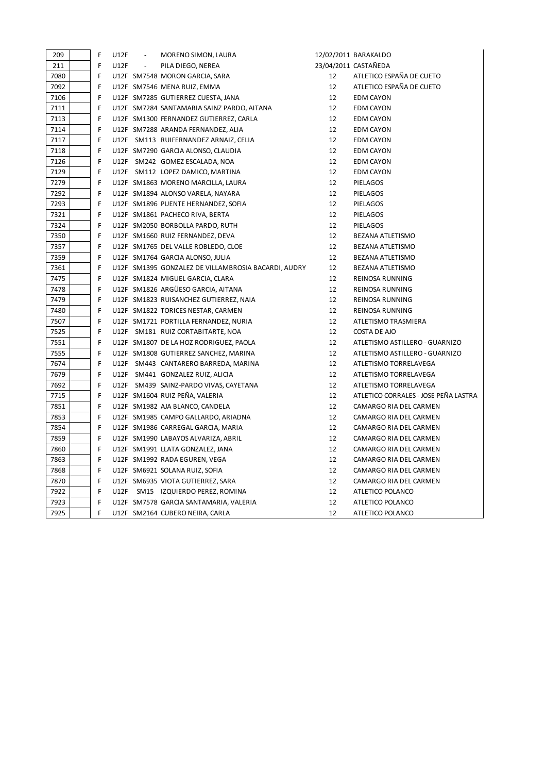| 209  | F | U12F | $\overline{\phantom{a}}$ | MORENO SIMON, LAURA                                 |    | 12/02/2011 BARAKALDO                 |
|------|---|------|--------------------------|-----------------------------------------------------|----|--------------------------------------|
| 211  | F | U12F | $\overline{\phantom{a}}$ | PILA DIEGO, NEREA                                   |    | 23/04/2011 CASTAÑEDA                 |
| 7080 | F |      |                          | U12F SM7548 MORON GARCIA, SARA                      | 12 | ATLETICO ESPAÑA DE CUETO             |
| 7092 | F |      |                          | U12F SM7546 MENA RUIZ, EMMA                         | 12 | ATLETICO ESPAÑA DE CUETO             |
| 7106 | F |      |                          | U12F SM7285 GUTIERREZ CUESTA, JANA                  | 12 | <b>EDM CAYON</b>                     |
| 7111 | F |      |                          | U12F SM7284 SANTAMARIA SAINZ PARDO, AITANA          | 12 | <b>EDM CAYON</b>                     |
| 7113 | F |      |                          | U12F SM1300 FERNANDEZ GUTIERREZ, CARLA              | 12 | <b>EDM CAYON</b>                     |
| 7114 | F |      |                          | U12F SM7288 ARANDA FERNANDEZ, ALIA                  | 12 | <b>EDM CAYON</b>                     |
| 7117 | F |      |                          | U12F SM113 RUIFERNANDEZ ARNAIZ, CELIA               | 12 | <b>EDM CAYON</b>                     |
| 7118 | F |      |                          | U12F SM7290 GARCIA ALONSO, CLAUDIA                  | 12 | <b>EDM CAYON</b>                     |
| 7126 | F |      |                          | U12F SM242 GOMEZ ESCALADA, NOA                      | 12 | <b>EDM CAYON</b>                     |
| 7129 | F |      |                          | U12F SM112 LOPEZ DAMICO, MARTINA                    | 12 | <b>EDM CAYON</b>                     |
| 7279 | F |      |                          | U12F SM1863 MORENO MARCILLA, LAURA                  | 12 | <b>PIELAGOS</b>                      |
| 7292 | F |      |                          | U12F SM1894 ALONSO VARELA, NAYARA                   | 12 | <b>PIELAGOS</b>                      |
| 7293 | F |      |                          | U12F SM1896 PUENTE HERNANDEZ, SOFIA                 | 12 | <b>PIELAGOS</b>                      |
| 7321 | F |      |                          | U12F SM1861 PACHECO RIVA, BERTA                     | 12 | <b>PIELAGOS</b>                      |
| 7324 | F |      |                          | U12F SM2050 BORBOLLA PARDO, RUTH                    | 12 | <b>PIELAGOS</b>                      |
| 7350 | F |      |                          | U12F SM1660 RUIZ FERNANDEZ, DEVA                    | 12 | BEZANA ATLETISMO                     |
| 7357 | F |      |                          | U12F SM1765 DEL VALLE ROBLEDO, CLOE                 | 12 | BEZANA ATLETISMO                     |
| 7359 | F |      |                          | U12F SM1764 GARCIA ALONSO, JULIA                    | 12 | BEZANA ATLETISMO                     |
| 7361 | F |      |                          | U12F SM1395 GONZALEZ DE VILLAMBROSIA BACARDI, AUDRY | 12 | <b>BEZANA ATLETISMO</b>              |
| 7475 | F |      |                          | U12F SM1824 MIGUEL GARCIA, CLARA                    | 12 | REINOSA RUNNING                      |
| 7478 | F |      |                          | U12F SM1826 ARGÜESO GARCIA, AITANA                  | 12 | REINOSA RUNNING                      |
| 7479 | F |      |                          | U12F SM1823 RUISANCHEZ GUTIERREZ, NAIA              | 12 | REINOSA RUNNING                      |
| 7480 | F |      |                          | U12F SM1822 TORICES NESTAR, CARMEN                  | 12 | REINOSA RUNNING                      |
| 7507 | F |      |                          | U12F SM1721 PORTILLA FERNANDEZ, NURIA               | 12 | ATLETISMO TRASMIERA                  |
| 7525 | F |      |                          | U12F SM181 RUIZ CORTABITARTE, NOA                   | 12 | COSTA DE AJO                         |
| 7551 | F |      |                          | U12F SM1807 DE LA HOZ RODRIGUEZ, PAOLA              | 12 | ATLETISMO ASTILLERO - GUARNIZO       |
| 7555 | F |      |                          | U12F SM1808 GUTIERREZ SANCHEZ, MARINA               | 12 | ATLETISMO ASTILLERO - GUARNIZO       |
| 7674 | F |      |                          | U12F SM443 CANTARERO BARREDA, MARINA                | 12 | ATLETISMO TORRELAVEGA                |
| 7679 | F |      |                          | U12F SM441 GONZALEZ RUIZ, ALICIA                    | 12 | ATLETISMO TORRELAVEGA                |
| 7692 | F |      |                          | U12F SM439 SAINZ-PARDO VIVAS, CAYETANA              | 12 | ATLETISMO TORRELAVEGA                |
| 7715 | F |      |                          | U12F SM1604 RUIZ PEÑA, VALERIA                      | 12 | ATLETICO CORRALES - JOSE PEÑA LASTRA |
| 7851 | F |      |                          | U12F SM1982 AJA BLANCO, CANDELA                     | 12 | CAMARGO RIA DEL CARMEN               |
| 7853 | F |      |                          | U12F SM1985 CAMPO GALLARDO, ARIADNA                 | 12 | CAMARGO RIA DEL CARMEN               |
| 7854 | F |      |                          | U12F SM1986 CARREGAL GARCIA, MARIA                  | 12 | CAMARGO RIA DEL CARMEN               |
| 7859 | F |      |                          | U12F SM1990 LABAYOS ALVARIZA, ABRIL                 | 12 | CAMARGO RIA DEL CARMEN               |
| 7860 | F |      |                          | U12F SM1991 LLATA GONZALEZ, JANA                    | 12 | CAMARGO RIA DEL CARMEN               |
| 7863 | F |      |                          | U12F SM1992 RADA EGUREN, VEGA                       | 12 | CAMARGO RIA DEL CARMEN               |
| 7868 | F |      |                          | U12F SM6921 SOLANA RUIZ, SOFIA                      | 12 | CAMARGO RIA DEL CARMEN               |
| 7870 | F |      |                          | U12F SM6935 VIOTA GUTIERREZ, SARA                   | 12 | CAMARGO RIA DEL CARMEN               |
| 7922 | F |      |                          | U12F SM15 IZQUIERDO PEREZ, ROMINA                   | 12 | ATLETICO POLANCO                     |
| 7923 | F |      |                          | U12F SM7578 GARCIA SANTAMARIA, VALERIA              | 12 | ATLETICO POLANCO                     |
| 7925 | F |      |                          | U12F SM2164 CUBERO NEIRA, CARLA                     | 12 | ATLETICO POLANCO                     |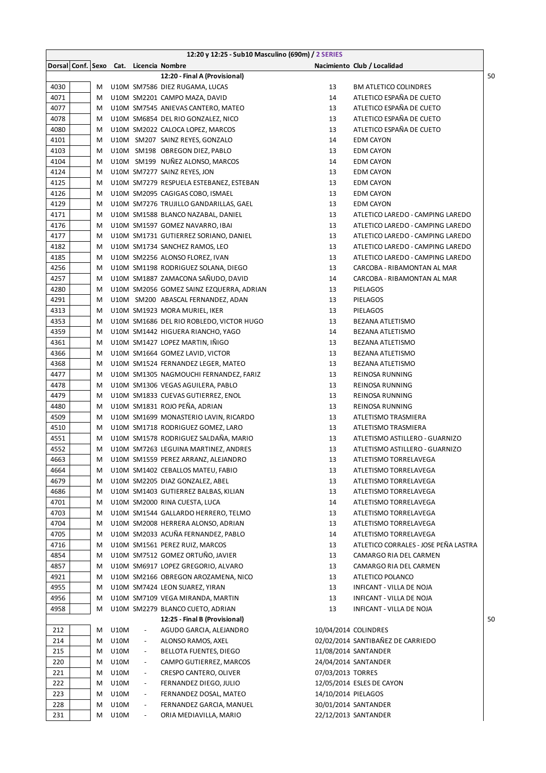|      |   |             |                                        | 12:20 y 12:25 - Sub10 Masculino (690m) / 2 SERIES        |                     |                                      |    |
|------|---|-------------|----------------------------------------|----------------------------------------------------------|---------------------|--------------------------------------|----|
|      |   |             | Dorsal Conf. Sexo Cat. Licencia Nombre |                                                          |                     | Nacimiento Club / Localidad          |    |
|      |   |             |                                        | 12:20 - Final A (Provisional)                            |                     |                                      | 50 |
| 4030 | М |             |                                        | U10M SM7586 DIEZ RUGAMA, LUCAS                           | 13                  | <b>BM ATLETICO COLINDRES</b>         |    |
| 4071 | М |             |                                        | U10M SM2201 CAMPO MAZA, DAVID                            | 14                  | ATLETICO ESPAÑA DE CUETO             |    |
| 4077 | M |             |                                        | U10M SM7545 ANIEVAS CANTERO, MATEO                       | 13                  | ATLETICO ESPAÑA DE CUETO             |    |
| 4078 | M |             |                                        | U10M SM6854 DEL RIO GONZALEZ, NICO                       | 13                  | ATLETICO ESPAÑA DE CUETO             |    |
| 4080 | M |             |                                        | U10M SM2022 CALOCA LOPEZ, MARCOS                         | 13                  | ATLETICO ESPAÑA DE CUETO             |    |
| 4101 | м |             |                                        | U10M SM207 SAINZ REYES, GONZALO                          | 14                  | <b>EDM CAYON</b>                     |    |
| 4103 | M |             |                                        | U10M SM198 OBREGON DIEZ, PABLO                           | 13                  | <b>EDM CAYON</b>                     |    |
| 4104 | M |             |                                        | U10M SM199 NUÑEZ ALONSO, MARCOS                          | 14                  | <b>EDM CAYON</b>                     |    |
| 4124 | M |             |                                        | U10M SM7277 SAINZ REYES, JON                             | 13                  | EDM CAYON                            |    |
| 4125 | м |             |                                        | U10M SM7279 RESPUELA ESTEBANEZ, ESTEBAN                  | 13                  | EDM CAYON                            |    |
| 4126 | М |             |                                        | U10M SM2095 CAGIGAS COBO, ISMAEL                         | 13                  | <b>EDM CAYON</b>                     |    |
| 4129 | М |             |                                        | U10M SM7276 TRUJILLO GANDARILLAS, GAEL                   | 13                  | <b>EDM CAYON</b>                     |    |
| 4171 | М |             |                                        | U10M SM1588 BLANCO NAZABAL, DANIEL                       | 13                  | ATLETICO LAREDO - CAMPING LAREDO     |    |
| 4176 | M |             |                                        | U10M SM1597 GOMEZ NAVARRO, IBAI                          | 13                  | ATLETICO LAREDO - CAMPING LAREDO     |    |
| 4177 | М |             |                                        | U10M SM1731 GUTIERREZ SORIANO, DANIEL                    | 13                  | ATLETICO LAREDO - CAMPING LAREDO     |    |
| 4182 | М |             |                                        | U10M SM1734 SANCHEZ RAMOS, LEO                           | 13                  | ATLETICO LAREDO - CAMPING LAREDO     |    |
| 4185 | M |             |                                        | U10M SM2256 ALONSO FLOREZ, IVAN                          | 13                  | ATLETICO LAREDO - CAMPING LAREDO     |    |
| 4256 | M |             |                                        | U10M SM1198 RODRIGUEZ SOLANA, DIEGO                      | 13                  | CARCOBA - RIBAMONTAN AL MAR          |    |
| 4257 | M |             |                                        | U10M SM1887 ZAMACONA SAÑUDO, DAVID                       | 14                  | CARCOBA - RIBAMONTAN AL MAR          |    |
| 4280 | M |             |                                        | U10M SM2056 GOMEZ SAINZ EZQUERRA, ADRIAN                 | 13                  | <b>PIELAGOS</b>                      |    |
| 4291 | м |             |                                        | U10M SM200 ABASCAL FERNANDEZ, ADAN                       | 13                  | <b>PIELAGOS</b>                      |    |
| 4313 | M |             |                                        | U10M SM1923 MORA MURIEL, IKER                            | 13                  | PIELAGOS                             |    |
| 4353 | м |             |                                        | U10M SM1686 DEL RIO ROBLEDO, VICTOR HUGO                 | 13                  | BEZANA ATLETISMO                     |    |
| 4359 | М |             |                                        | U10M SM1442 HIGUERA RIANCHO, YAGO                        | 14                  | BEZANA ATLETISMO                     |    |
| 4361 | М |             |                                        | U10M SM1427 LOPEZ MARTIN, IÑIGO                          | 13                  | BEZANA ATLETISMO                     |    |
| 4366 | М |             |                                        | U10M SM1664 GOMEZ LAVID, VICTOR                          | 13                  | <b>BEZANA ATLETISMO</b>              |    |
| 4368 | М |             |                                        | U10M SM1524 FERNANDEZ LEGER, MATEO                       | 13                  | <b>BEZANA ATLETISMO</b>              |    |
| 4477 | М |             |                                        | U10M SM1305 NAGMOUCHI FERNANDEZ, FARIZ                   | 13                  | REINOSA RUNNING                      |    |
| 4478 | М |             |                                        | U10M SM1306 VEGAS AGUILERA, PABLO                        | 13                  | REINOSA RUNNING                      |    |
| 4479 | M |             |                                        | U10M SM1833 CUEVAS GUTIERREZ, ENOL                       | 13                  | REINOSA RUNNING                      |    |
| 4480 | M |             |                                        | U10M SM1831 ROJO PEÑA, ADRIAN                            | 13                  | REINOSA RUNNING                      |    |
| 4509 | м |             |                                        | U10M SM1699 MONASTERIO LAVIN, RICARDO                    | 13                  | ATLETISMO TRASMIERA                  |    |
| 4510 | M |             |                                        | U10M SM1718 RODRIGUEZ GOMEZ, LARO                        | 13                  | ATLETISMO TRASMIERA                  |    |
| 4551 | M |             |                                        | U10M SM1578 RODRIGUEZ SALDAÑA, MARIO                     | 13                  | ATLETISMO ASTILLERO - GUARNIZO       |    |
| 4552 | M |             |                                        | U10M SM7263 LEGUINA MARTINEZ, ANDRES                     | 13                  | ATLETISMO ASTILLERO - GUARNIZO       |    |
| 4663 | M |             |                                        | U10M SM1559 PEREZ ARRANZ, ALEJANDRO                      | 13                  | ATLETISMO TORRELAVEGA                |    |
| 4664 | M |             |                                        | U10M SM1402 CEBALLOS MATEU, FABIO                        | 13                  | ATLETISMO TORRELAVEGA                |    |
| 4679 | M |             |                                        | U10M SM2205 DIAZ GONZALEZ, ABEL                          | 13                  | ATLETISMO TORRELAVEGA                |    |
| 4686 | М |             |                                        | U10M SM1403 GUTIERREZ BALBAS, KILIAN                     | 13                  | ATLETISMO TORRELAVEGA                |    |
| 4701 | М |             |                                        | U10M SM2000 RINA CUESTA, LUCA                            | 14                  | ATLETISMO TORRELAVEGA                |    |
| 4703 | М |             |                                        | U10M SM1544 GALLARDO HERRERO, TELMO                      | 13                  | ATLETISMO TORRELAVEGA                |    |
| 4704 | M |             |                                        | U10M SM2008 HERRERA ALONSO, ADRIAN                       | 13                  | ATLETISMO TORRELAVEGA                |    |
| 4705 | M |             |                                        | U10M SM2033 ACUÑA FERNANDEZ, PABLO                       | 14                  | ATLETISMO TORRELAVEGA                |    |
| 4716 | М |             |                                        | U10M SM1561 PEREZ RUIZ, MARCOS                           | 13                  | ATLETICO CORRALES - JOSE PEÑA LASTRA |    |
| 4854 | M |             |                                        | U10M SM7512 GOMEZ ORTUÑO, JAVIER                         | 13                  | CAMARGO RIA DEL CARMEN               |    |
| 4857 | M |             |                                        | U10M SM6917 LOPEZ GREGORIO, ALVARO                       | 13                  | CAMARGO RIA DEL CARMEN               |    |
| 4921 | M |             |                                        | U10M SM2166 OBREGON AROZAMENA, NICO                      | 13                  | ATLETICO POLANCO                     |    |
| 4955 | М |             |                                        | U10M SM7424 LEON SUAREZ, YIRAN                           | 13                  | INFICANT - VILLA DE NOJA             |    |
| 4956 | M |             |                                        | U10M SM7109 VEGA MIRANDA, MARTIN                         | 13                  | INFICANT - VILLA DE NOJA             |    |
| 4958 | M |             |                                        | U10M SM2279 BLANCO CUETO, ADRIAN                         | 13                  | INFICANT - VILLA DE NOJA             |    |
|      |   |             |                                        |                                                          |                     |                                      | 50 |
|      |   | <b>U10M</b> | $\overline{\phantom{a}}$               | 12:25 - Final B (Provisional)<br>AGUDO GARCIA, ALEJANDRO |                     | 10/04/2014 COLINDRES                 |    |
| 212  | M | U10M        |                                        |                                                          |                     | 02/02/2014 SANTIBAÑEZ DE CARRIEDO    |    |
| 214  | M |             | $\overline{\phantom{a}}$               | ALONSO RAMOS, AXEL                                       |                     |                                      |    |
| 215  | М | U10M        | $\overline{\phantom{a}}$               | <b>BELLOTA FUENTES, DIEGO</b>                            |                     | 11/08/2014 SANTANDER                 |    |
| 220  | M | U10M        | $\overline{\phantom{a}}$               | CAMPO GUTIERREZ, MARCOS                                  |                     | 24/04/2014 SANTANDER                 |    |
| 221  | M | U10M        | $\overline{\phantom{a}}$               | CRESPO CANTERO, OLIVER                                   | 07/03/2013 TORRES   |                                      |    |
| 222  | M | U10M        | $\overline{\phantom{a}}$               | FERNANDEZ DIEGO, JULIO                                   |                     | 12/05/2014 ESLES DE CAYON            |    |
| 223  | М | U10M        | $\overline{\phantom{a}}$               | FERNANDEZ DOSAL, MATEO                                   | 14/10/2014 PIELAGOS |                                      |    |
| 228  | M | U10M        | $\overline{\phantom{a}}$               | FERNANDEZ GARCIA, MANUEL                                 |                     | 30/01/2014 SANTANDER                 |    |
| 231  | М | U10M        | $\overline{\phantom{a}}$               | ORIA MEDIAVILLA, MARIO                                   |                     | 22/12/2013 SANTANDER                 |    |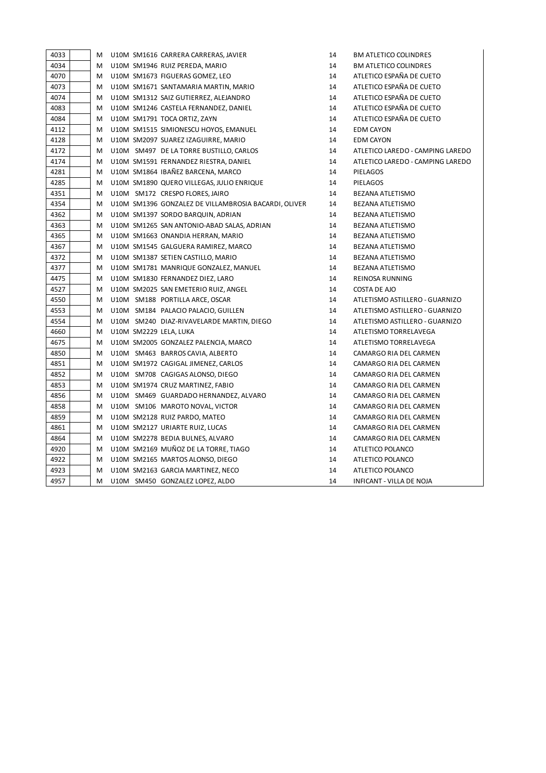| 4033 | M |  | U10M SM1616 CARRERA CARRERAS, JAVIER                 | 14 | <b>BM ATLETICO COLINDRES</b>     |
|------|---|--|------------------------------------------------------|----|----------------------------------|
| 4034 | М |  | U10M SM1946 RUIZ PEREDA, MARIO                       | 14 | <b>BM ATLETICO COLINDRES</b>     |
| 4070 | M |  | U10M SM1673 FIGUERAS GOMEZ, LEO                      | 14 | ATLETICO ESPAÑA DE CUETO         |
| 4073 | Μ |  | U10M SM1671 SANTAMARIA MARTIN, MARIO                 | 14 | ATLETICO ESPAÑA DE CUETO         |
| 4074 | M |  | U10M SM1312 SAIZ GUTIERREZ, ALEJANDRO                | 14 | ATLETICO ESPAÑA DE CUETO         |
| 4083 | M |  | U10M SM1246 CASTELA FERNANDEZ, DANIEL                | 14 | ATLETICO ESPAÑA DE CUETO         |
| 4084 | M |  | U10M SM1791 TOCA ORTIZ, ZAYN                         | 14 | ATLETICO ESPAÑA DE CUETO         |
| 4112 | м |  | U10M SM1515 SIMIONESCU HOYOS, EMANUEL                | 14 | <b>EDM CAYON</b>                 |
| 4128 | M |  | U10M SM2097 SUAREZ IZAGUIRRE, MARIO                  | 14 | <b>EDM CAYON</b>                 |
| 4172 | M |  | U10M SM497 DE LA TORRE BUSTILLO, CARLOS              | 14 | ATLETICO LAREDO - CAMPING LAREDO |
| 4174 | Μ |  | U10M SM1591 FERNANDEZ RIESTRA, DANIEL                | 14 | ATLETICO LAREDO - CAMPING LAREDO |
| 4281 | M |  | U10M SM1864 IBAÑEZ BARCENA, MARCO                    | 14 | PIELAGOS                         |
| 4285 | M |  | U10M SM1890 QUERO VILLEGAS, JULIO ENRIQUE            | 14 | PIELAGOS                         |
| 4351 | M |  | U10M SM172 CRESPO FLORES, JAIRO                      | 14 | BEZANA ATLETISMO                 |
| 4354 | M |  | U10M SM1396 GONZALEZ DE VILLAMBROSIA BACARDI, OLIVER | 14 | BEZANA ATLETISMO                 |
| 4362 | М |  | U10M SM1397 SORDO BARQUIN, ADRIAN                    | 14 | <b>BEZANA ATLETISMO</b>          |
| 4363 | M |  | U10M SM1265 SAN ANTONIO-ABAD SALAS, ADRIAN           | 14 | BEZANA ATLETISMO                 |
| 4365 | M |  | U10M SM1663 ONANDIA HERRAN, MARIO                    | 14 | <b>BEZANA ATLETISMO</b>          |
| 4367 | M |  | U10M SM1545 GALGUERA RAMIREZ, MARCO                  | 14 | BEZANA ATLETISMO                 |
| 4372 | M |  | U10M SM1387 SETIEN CASTILLO, MARIO                   | 14 | <b>BEZANA ATLETISMO</b>          |
| 4377 | M |  | U10M SM1781 MANRIQUE GONZALEZ, MANUEL                | 14 | BEZANA ATLETISMO                 |
| 4475 | Μ |  | U10M SM1830 FERNANDEZ DIEZ, LARO                     | 14 | REINOSA RUNNING                  |
| 4527 | M |  | U10M SM2025 SAN EMETERIO RUIZ, ANGEL                 | 14 | COSTA DE AJO                     |
| 4550 | M |  | U10M SM188 PORTILLA ARCE, OSCAR                      | 14 | ATLETISMO ASTILLERO - GUARNIZO   |
| 4553 | M |  | U10M SM184 PALACIO PALACIO, GUILLEN                  | 14 | ATLETISMO ASTILLERO - GUARNIZO   |
| 4554 | M |  | U10M SM240 DIAZ-RIVAVELARDE MARTIN, DIEGO            | 14 | ATLETISMO ASTILLERO - GUARNIZO   |
| 4660 | M |  | U10M SM2229 LELA, LUKA                               | 14 | ATLETISMO TORRELAVEGA            |
| 4675 | М |  | U10M SM2005 GONZALEZ PALENCIA, MARCO                 | 14 | ATLETISMO TORRELAVEGA            |
| 4850 | M |  | U10M SM463 BARROS CAVIA, ALBERTO                     | 14 | CAMARGO RIA DEL CARMEN           |
| 4851 | M |  | U10M SM1972 CAGIGAL JIMENEZ, CARLOS                  | 14 | CAMARGO RIA DEL CARMEN           |
| 4852 | M |  | U10M SM708 CAGIGAS ALONSO, DIEGO                     | 14 | CAMARGO RIA DEL CARMEN           |
| 4853 | м |  | U10M SM1974 CRUZ MARTINEZ, FABIO                     | 14 | CAMARGO RIA DEL CARMEN           |
| 4856 | M |  | U10M SM469 GUARDADO HERNANDEZ, ALVARO                | 14 | CAMARGO RIA DEL CARMEN           |
| 4858 | M |  | U10M SM106 MAROTO NOVAL, VICTOR                      | 14 | CAMARGO RIA DEL CARMEN           |
| 4859 | M |  | U10M SM2128 RUIZ PARDO, MATEO                        | 14 | CAMARGO RIA DEL CARMEN           |
| 4861 | м |  | U10M SM2127 URIARTE RUIZ, LUCAS                      | 14 | CAMARGO RIA DEL CARMEN           |
| 4864 | M |  | U10M SM2278 BEDIA BULNES, ALVARO                     | 14 | CAMARGO RIA DEL CARMEN           |
| 4920 | M |  | U10M SM2169 MUÑOZ DE LA TORRE, TIAGO                 | 14 | ATLETICO POLANCO                 |
| 4922 | М |  | U10M SM2165 MARTOS ALONSO, DIEGO                     | 14 | ATLETICO POLANCO                 |
| 4923 | м |  | U10M SM2163 GARCIA MARTINEZ, NECO                    | 14 | ATLETICO POLANCO                 |
| 4957 | M |  | U10M SM450 GONZALEZ LOPEZ, ALDO                      | 14 | INFICANT - VILLA DE NOJA         |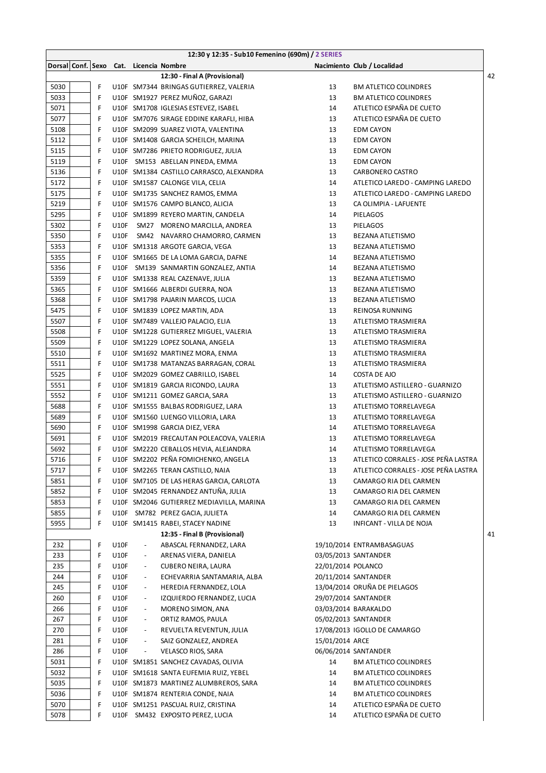|      |   |             |                                        | 12:30 y 12:35 - Sub10 Femenino (690m) / 2 SERIES |                    |                                      |    |
|------|---|-------------|----------------------------------------|--------------------------------------------------|--------------------|--------------------------------------|----|
|      |   |             | Dorsal Conf. Sexo Cat. Licencia Nombre |                                                  |                    | Nacimiento Club / Localidad          |    |
|      |   |             |                                        | 12:30 - Final A (Provisional)                    |                    |                                      | 42 |
| 5030 | F |             |                                        | U10F SM7344 BRINGAS GUTIERREZ, VALERIA           | 13                 | <b>BM ATLETICO COLINDRES</b>         |    |
| 5033 | F |             |                                        | U10F SM1927 PEREZ MUÑOZ, GARAZI                  | 13                 | <b>BM ATLETICO COLINDRES</b>         |    |
| 5071 | F |             |                                        | U10F SM1708 IGLESIAS ESTEVEZ, ISABEL             | 14                 | ATLETICO ESPAÑA DE CUETO             |    |
| 5077 | F |             |                                        | U10F SM7076 SIRAGE EDDINE KARAFLI, HIBA          | 13                 | ATLETICO ESPAÑA DE CUETO             |    |
| 5108 | F |             |                                        | U10F SM2099 SUAREZ VIOTA, VALENTINA              | 13                 | EDM CAYON                            |    |
| 5112 | F |             |                                        | U10F SM1408 GARCIA SCHEILCH, MARINA              | 13                 | <b>EDM CAYON</b>                     |    |
| 5115 | F |             |                                        | U10F SM7286 PRIETO RODRIGUEZ, JULIA              | 13                 | <b>EDM CAYON</b>                     |    |
| 5119 | F |             |                                        | U10F SM153 ABELLAN PINEDA, EMMA                  | 13                 | <b>EDM CAYON</b>                     |    |
| 5136 | F |             |                                        | U10F SM1384 CASTILLO CARRASCO, ALEXANDRA         | 13                 | CARBONERO CASTRO                     |    |
| 5172 | F |             |                                        | U10F SM1587 CALONGE VILA, CELIA                  | 14                 | ATLETICO LAREDO - CAMPING LAREDO     |    |
| 5175 | F |             |                                        | U10F SM1735 SANCHEZ RAMOS, EMMA                  | 13                 | ATLETICO LAREDO - CAMPING LAREDO     |    |
| 5219 | F |             |                                        | U10F SM1576 CAMPO BLANCO, ALICIA                 | 13                 | CA OLIMPIA - LAFUENTE                |    |
| 5295 | F |             |                                        | U10F SM1899 REYERO MARTIN, CANDELA               | 14                 | PIELAGOS                             |    |
| 5302 | F | <b>U10F</b> |                                        | SM27 MORENO MARCILLA, ANDREA                     | 13                 | PIELAGOS                             |    |
| 5350 | F | <b>U10F</b> |                                        | SM42 NAVARRO CHAMORRO, CARMEN                    | 13                 | BEZANA ATLETISMO                     |    |
| 5353 | F |             |                                        | U10F SM1318 ARGOTE GARCIA, VEGA                  | 13                 | <b>BEZANA ATLETISMO</b>              |    |
| 5355 | F |             |                                        | U10F SM1665 DE LA LOMA GARCIA, DAFNE             | 14                 | BEZANA ATLETISMO                     |    |
| 5356 | F |             |                                        | U10F SM139 SANMARTIN GONZALEZ, ANTIA             | 14                 | BEZANA ATLETISMO                     |    |
| 5359 | F |             |                                        | U10F SM1338 REAL CAZENAVE, JULIA                 | 13                 | BEZANA ATLETISMO                     |    |
| 5365 | F |             |                                        | U10F SM1666 ALBERDI GUERRA, NOA                  | 13                 | BEZANA ATLETISMO                     |    |
| 5368 | F |             |                                        | U10F SM1798 PAJARIN MARCOS, LUCIA                | 13                 | BEZANA ATLETISMO                     |    |
| 5475 | F |             |                                        | U10F SM1839 LOPEZ MARTIN, ADA                    | 13                 | REINOSA RUNNING                      |    |
| 5507 | F |             |                                        | U10F SM7489 VALLEJO PALACIO, ELIA                | 13                 | ATLETISMO TRASMIERA                  |    |
| 5508 | F |             |                                        | U10F SM1228 GUTIERREZ MIGUEL, VALERIA            | 13                 | ATLETISMO TRASMIERA                  |    |
| 5509 | F |             |                                        | U10F SM1229 LOPEZ SOLANA, ANGELA                 | 13                 | ATLETISMO TRASMIERA                  |    |
| 5510 | F |             |                                        | U10F SM1692 MARTINEZ MORA, ENMA                  | 13                 | ATLETISMO TRASMIERA                  |    |
| 5511 | F |             |                                        | U10F SM1738 MATANZAS BARRAGAN, CORAL             | 13                 | ATLETISMO TRASMIERA                  |    |
| 5525 | F |             |                                        | U10F SM2029 GOMEZ CABRILLO, ISABEL               | 14                 | COSTA DE AJO                         |    |
| 5551 | F |             |                                        | U10F SM1819 GARCIA RICONDO, LAURA                | 13                 | ATLETISMO ASTILLERO - GUARNIZO       |    |
| 5552 | F |             |                                        | U10F SM1211 GOMEZ GARCIA, SARA                   | 13                 | ATLETISMO ASTILLERO - GUARNIZO       |    |
| 5688 | F |             |                                        | U10F SM1555 BALBAS RODRIGUEZ, LARA               | 13                 | ATLETISMO TORRELAVEGA                |    |
| 5689 | F |             |                                        | U10F SM1560 LUENGO VILLORIA, LARA                | 13                 | ATLETISMO TORRELAVEGA                |    |
| 5690 | F |             |                                        | U10F SM1998 GARCIA DIEZ, VERA                    | 14                 | ATLETISMO TORRELAVEGA                |    |
| 5691 | F |             |                                        | U10F SM2019 FRECAUTAN POLEACOVA, VALERIA         | 13                 | ATLETISMO TORRELAVEGA                |    |
| 5692 | F |             |                                        | U10F SM2220 CEBALLOS HEVIA, ALEJANDRA            | 14                 | ATLETISMO TORRELAVEGA                |    |
| 5716 | F |             |                                        | U10F SM2202 PEÑA FOMICHENKO, ANGELA              | 13                 | ATLETICO CORRALES - JOSE PEÑA LASTRA |    |
| 5717 | F |             |                                        | U10F SM2265 TERAN CASTILLO, NAIA                 | 13                 | ATLETICO CORRALES - JOSE PEÑA LASTRA |    |
| 5851 | F |             |                                        | U10F SM7105 DE LAS HERAS GARCIA, CARLOTA         | 13                 | CAMARGO RIA DEL CARMEN               |    |
| 5852 | F |             |                                        | U10F SM2045 FERNANDEZ ANTUÑA, JULIA              | 13                 | CAMARGO RIA DEL CARMEN               |    |
| 5853 | F |             |                                        | U10F SM2046 GUTIERREZ MEDIAVILLA, MARINA         | 13                 | CAMARGO RIA DEL CARMEN               |    |
| 5855 | F |             |                                        | U10F SM782 PEREZ GACIA, JULIETA                  | 14                 | CAMARGO RIA DEL CARMEN               |    |
| 5955 | F |             |                                        | U10F SM1415 RABEI, STACEY NADINE                 | 13                 | INFICANT - VILLA DE NOJA             |    |
|      |   |             |                                        | 12:35 - Final B (Provisional)                    |                    |                                      | 41 |
| 232  | F | <b>U10F</b> | $\overline{\phantom{a}}$               | ABASCAL FERNANDEZ, LARA                          |                    | 19/10/2014 ENTRAMBASAGUAS            |    |
| 233  | F | <b>U10F</b> | $\overline{\phantom{a}}$               | ARENAS VIERA, DANIELA                            |                    | 03/05/2013 SANTANDER                 |    |
| 235  | F |             | $\overline{\phantom{a}}$               | CUBERO NEIRA, LAURA                              | 22/01/2014 POLANCO |                                      |    |
|      |   | <b>U10F</b> |                                        | ECHEVARRIA SANTAMARIA, ALBA                      |                    |                                      |    |
| 244  | F | <b>U10F</b> | $\overline{\phantom{a}}$               |                                                  |                    | 20/11/2014 SANTANDER                 |    |
| 245  | F | <b>U10F</b> | $\overline{\phantom{a}}$               | HEREDIA FERNANDEZ, LOLA                          |                    | 13/04/2014 ORUÑA DE PIELAGOS         |    |
| 260  | F | U10F        | $\overline{\phantom{a}}$               | IZQUIERDO FERNANDEZ, LUCIA                       |                    | 29/07/2014 SANTANDER                 |    |
| 266  | F | <b>U10F</b> | $\overline{\phantom{a}}$               | MORENO SIMON, ANA                                |                    | 03/03/2014 BARAKALDO                 |    |
| 267  | F | <b>U10F</b> | $\overline{\phantom{a}}$               | ORTIZ RAMOS, PAULA                               |                    | 05/02/2013 SANTANDER                 |    |
| 270  | F | <b>U10F</b> | $\overline{\phantom{a}}$               | REVUELTA REVENTUN, JULIA                         |                    | 17/08/2013 IGOLLO DE CAMARGO         |    |
| 281  | F | <b>U10F</b> | $\overline{\phantom{a}}$               | SAIZ GONZALEZ, ANDREA                            | 15/01/2014 ARCE    |                                      |    |
| 286  | F | U10F        | $\overline{\phantom{a}}$               | VELASCO RIOS, SARA                               |                    | 06/06/2014 SANTANDER                 |    |
| 5031 | F |             |                                        | U10F SM1851 SANCHEZ CAVADAS, OLIVIA              | 14                 | <b>BM ATLETICO COLINDRES</b>         |    |
| 5032 | F |             |                                        | U10F SM1618 SANTA EUFEMIA RUIZ, YEBEL            | 14                 | <b>BM ATLETICO COLINDRES</b>         |    |
| 5035 | F |             |                                        | U10F SM1873 MARTINEZ ALUMBREROS, SARA            | 14                 | <b>BM ATLETICO COLINDRES</b>         |    |
| 5036 | F |             |                                        | U10F SM1874 RENTERIA CONDE, NAIA                 | 14                 | <b>BM ATLETICO COLINDRES</b>         |    |
| 5070 | F |             |                                        | U10F SM1251 PASCUAL RUIZ, CRISTINA               | 14                 | ATLETICO ESPAÑA DE CUETO             |    |
| 5078 | F |             |                                        | U10F SM432 EXPOSITO PEREZ, LUCIA                 | 14                 | ATLETICO ESPAÑA DE CUETO             |    |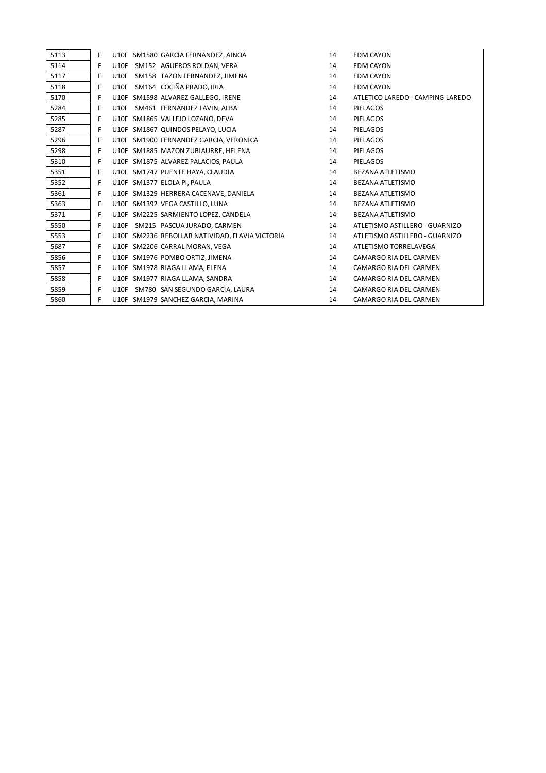| 5113 | F |             | U10F SM1580 GARCIA FERNANDEZ, AINOA             | 14 | <b>EDM CAYON</b>                 |
|------|---|-------------|-------------------------------------------------|----|----------------------------------|
| 5114 | F | <b>U10F</b> | SM152 AGUEROS ROLDAN, VERA                      | 14 | <b>EDM CAYON</b>                 |
| 5117 | F | <b>U10F</b> | SM158 TAZON FERNANDEZ, JIMENA                   | 14 | <b>EDM CAYON</b>                 |
| 5118 | F | U10F        | SM164 COCIÑA PRADO, IRIA                        | 14 | <b>EDM CAYON</b>                 |
| 5170 | F |             | U10F SM1598 ALVAREZ GALLEGO, IRENE              | 14 | ATLETICO LAREDO - CAMPING LAREDO |
| 5284 | F |             | U10F SM461 FERNANDEZ LAVIN, ALBA                | 14 | PIELAGOS                         |
| 5285 | F |             | U10F SM1865 VALLEJO LOZANO, DEVA                | 14 | PIELAGOS                         |
| 5287 | F |             | U10F SM1867 QUINDOS PELAYO, LUCIA               | 14 | PIELAGOS                         |
| 5296 | F |             | U10F SM1900 FERNANDEZ GARCIA, VERONICA          | 14 | <b>PIELAGOS</b>                  |
| 5298 | F |             | U10F SM1885 MAZON ZUBIAURRE, HELENA             | 14 | <b>PIELAGOS</b>                  |
| 5310 | F |             | U10F SM1875 ALVAREZ PALACIOS, PAULA             | 14 | <b>PIELAGOS</b>                  |
| 5351 | F |             | U10F SM1747 PUENTE HAYA, CLAUDIA                | 14 | BEZANA ATLETISMO                 |
| 5352 | F |             | U10F SM1377 ELOLA PI, PAULA                     | 14 | BEZANA ATLETISMO                 |
| 5361 | F |             | U10F SM1329 HERRERA CACENAVE, DANIELA           | 14 | BEZANA ATLETISMO                 |
| 5363 | F |             | U10F SM1392 VEGA CASTILLO, LUNA                 | 14 | BEZANA ATLETISMO                 |
| 5371 | F |             | U10F SM2225 SARMIENTO LOPEZ, CANDELA            | 14 | BEZANA ATLETISMO                 |
| 5550 | F |             | U10F SM215 PASCUA JURADO, CARMEN                | 14 | ATLETISMO ASTILLERO - GUARNIZO   |
| 5553 | F |             | U10F SM2236 REBOLLAR NATIVIDAD, FLAVIA VICTORIA | 14 | ATLETISMO ASTILLERO - GUARNIZO   |
| 5687 | F |             | U10F SM2206 CARRAL MORAN, VEGA                  | 14 | ATLETISMO TORRELAVEGA            |
| 5856 | F |             | U10F SM1976 POMBO ORTIZ, JIMENA                 | 14 | CAMARGO RIA DEL CARMEN           |
| 5857 | F |             | U10F SM1978 RIAGA LLAMA, ELENA                  | 14 | CAMARGO RIA DEL CARMEN           |
| 5858 | F |             | U10F SM1977 RIAGA LLAMA, SANDRA                 | 14 | CAMARGO RIA DEL CARMEN           |
| 5859 | F | <b>U10F</b> | SM780 SAN SEGUNDO GARCIA, LAURA                 | 14 | CAMARGO RIA DEL CARMEN           |
| 5860 | F |             | U10F SM1979 SANCHEZ GARCIA, MARINA              | 14 | CAMARGO RIA DEL CARMEN           |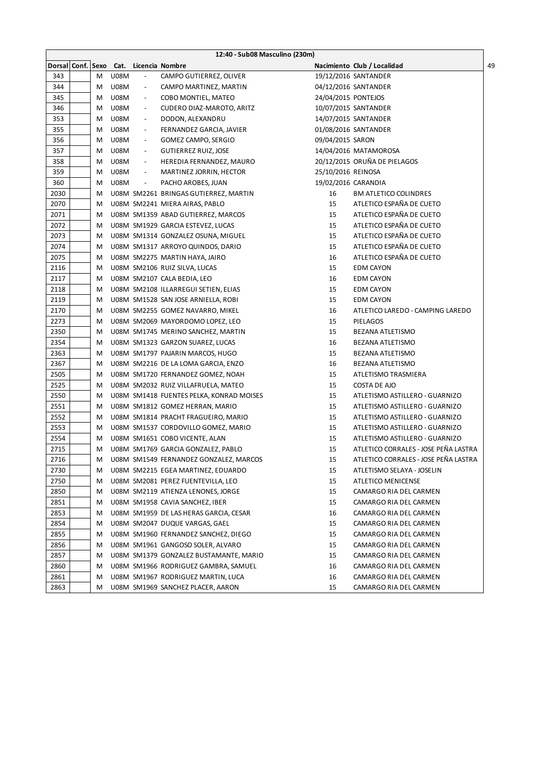|                   | 12:40 - Sub08 Masculino (230m) |             |                          |                                                                     |                     |                                      |  |
|-------------------|--------------------------------|-------------|--------------------------|---------------------------------------------------------------------|---------------------|--------------------------------------|--|
| Dorsal Conf. Sexo |                                |             |                          | Cat. Licencia Nombre                                                |                     | Nacimiento Club / Localidad          |  |
| 343               | M                              | <b>U08M</b> | $\overline{\phantom{a}}$ | CAMPO GUTIERREZ, OLIVER                                             |                     | 19/12/2016 SANTANDER                 |  |
| 344               | М                              | <b>U08M</b> | $\overline{\phantom{a}}$ | CAMPO MARTINEZ, MARTIN                                              |                     | 04/12/2016 SANTANDER                 |  |
| 345               | M                              | U08M        | $\overline{\phantom{a}}$ | COBO MONTIEL, MATEO                                                 | 24/04/2015 PONTEJOS |                                      |  |
| 346               | М                              | <b>U08M</b> | $\overline{\phantom{a}}$ | CUDERO DIAZ-MAROTO, ARITZ                                           |                     | 10/07/2015 SANTANDER                 |  |
| 353               | M                              | <b>U08M</b> | $\overline{\phantom{a}}$ | DODON, ALEXANDRU                                                    |                     | 14/07/2015 SANTANDER                 |  |
| 355               | M                              | <b>U08M</b> | $\overline{\phantom{a}}$ | FERNANDEZ GARCIA, JAVIER                                            |                     | 01/08/2016 SANTANDER                 |  |
| 356               | M                              | U08M        | $\overline{\phantom{a}}$ | GOMEZ CAMPO, SERGIO                                                 | 09/04/2015 SARON    |                                      |  |
| 357               | M                              | U08M        | $\overline{\phantom{a}}$ | <b>GUTIERREZ RUIZ, JOSE</b>                                         |                     | 14/04/2016 MATAMOROSA                |  |
| 358               | M                              | U08M        | $\overline{\phantom{a}}$ | HEREDIA FERNANDEZ, MAURO                                            |                     | 20/12/2015 ORUÑA DE PIELAGOS         |  |
| 359               | M                              | U08M        | $\overline{\phantom{a}}$ | MARTINEZ JORRIN, HECTOR                                             | 25/10/2016 REINOSA  |                                      |  |
| 360               | M                              | <b>U08M</b> | $\overline{\phantom{a}}$ | PACHO AROBES, JUAN                                                  | 19/02/2016 CARANDIA |                                      |  |
| 2030              | M                              |             |                          | U08M SM2261 BRINGAS GUTIERREZ, MARTIN                               | 16                  | <b>BM ATLETICO COLINDRES</b>         |  |
| 2070              | M                              |             |                          | U08M SM2241 MIERA AIRAS, PABLO                                      | 15                  | ATLETICO ESPAÑA DE CUETO             |  |
| 2071              | M                              |             |                          | U08M SM1359 ABAD GUTIERREZ, MARCOS                                  | 15                  | ATLETICO ESPAÑA DE CUETO             |  |
| 2072              | M                              |             |                          | U08M SM1929 GARCIA ESTEVEZ, LUCAS                                   | 15                  | ATLETICO ESPAÑA DE CUETO             |  |
| 2073              | M                              |             |                          | U08M SM1314 GONZALEZ OSUNA, MIGUEL                                  | 15                  | ATLETICO ESPAÑA DE CUETO             |  |
| 2074              | M                              |             |                          | U08M SM1317 ARROYO QUINDOS, DARIO                                   | 15                  | ATLETICO ESPAÑA DE CUETO             |  |
| 2075              | M                              |             |                          | U08M SM2275 MARTIN HAYA, JAIRO                                      | 16                  | ATLETICO ESPAÑA DE CUETO             |  |
| 2116              | М                              |             |                          | U08M SM2106 RUIZ SILVA, LUCAS                                       | 15                  | <b>EDM CAYON</b>                     |  |
| 2117              | М                              |             |                          |                                                                     | 16                  | <b>EDM CAYON</b>                     |  |
| 2118              |                                |             |                          | U08M SM2107 CALA BEDIA, LEO<br>U08M SM2108 ILLARREGUI SETIEN, ELIAS | 15                  |                                      |  |
|                   | М                              |             |                          |                                                                     |                     | <b>EDM CAYON</b>                     |  |
| 2119              | M                              |             |                          | U08M SM1528 SAN JOSE ARNIELLA, ROBI                                 | 15                  | <b>EDM CAYON</b>                     |  |
| 2170              | М                              |             |                          | U08M SM2255 GOMEZ NAVARRO, MIKEL                                    | 16                  | ATLETICO LAREDO - CAMPING LAREDO     |  |
| 2273              | М                              |             |                          | U08M SM2069 MAYORDOMO LOPEZ, LEO                                    | 15                  | PIELAGOS                             |  |
| 2350              | M                              |             |                          | U08M SM1745 MERINO SANCHEZ, MARTIN                                  | 15                  | <b>BEZANA ATLETISMO</b>              |  |
| 2354              | M                              |             |                          | U08M SM1323 GARZON SUAREZ, LUCAS                                    | 16                  | BEZANA ATLETISMO                     |  |
| 2363              | M                              |             |                          | U08M SM1797 PAJARIN MARCOS, HUGO                                    | 15                  | BEZANA ATLETISMO                     |  |
| 2367              | M                              |             |                          | U08M SM2216 DE LA LOMA GARCIA, ENZO                                 | 16                  | BEZANA ATLETISMO                     |  |
| 2505              | M                              |             |                          | U08M SM1720 FERNANDEZ GOMEZ, NOAH                                   | 15                  | ATLETISMO TRASMIERA                  |  |
| 2525              | M                              |             |                          | U08M SM2032 RUIZ VILLAFRUELA, MATEO                                 | 15                  | COSTA DE AJO                         |  |
| 2550              | M                              |             |                          | U08M SM1418 FUENTES PELKA, KONRAD MOISES                            | 15                  | ATLETISMO ASTILLERO - GUARNIZO       |  |
| 2551              | М                              |             |                          | U08M SM1812 GOMEZ HERRAN, MARIO                                     | 15                  | ATLETISMO ASTILLERO - GUARNIZO       |  |
| 2552              | М                              |             |                          | U08M SM1814 PRACHT FRAGUEIRO, MARIO                                 | 15                  | ATLETISMO ASTILLERO - GUARNIZO       |  |
| 2553              | М                              |             |                          | U08M SM1537 CORDOVILLO GOMEZ, MARIO                                 | 15                  | ATLETISMO ASTILLERO - GUARNIZO       |  |
| 2554              | М                              |             |                          | U08M SM1651 COBO VICENTE, ALAN                                      | 15                  | ATLETISMO ASTILLERO - GUARNIZO       |  |
| 2715              | М                              |             |                          | U08M SM1769 GARCIA GONZALEZ, PABLO                                  | 15                  | ATLETICO CORRALES - JOSE PEÑA LASTRA |  |
| 2716              | М                              |             |                          | U08M SM1549 FERNANDEZ GONZALEZ, MARCOS                              | 15                  | ATLETICO CORRALES - JOSE PEÑA LASTRA |  |
| 2730              | M                              |             |                          | U08M SM2215 EGEA MARTINEZ, EDUARDO                                  | 15                  | ATLETISMO SELAYA - JOSELIN           |  |
| 2750              | M                              |             |                          | U08M SM2081 PEREZ FUENTEVILLA, LEO                                  | 15                  | ATLETICO MENICENSE                   |  |
| 2850              | M                              |             |                          | U08M SM2119 ATIENZA LENONES, JORGE                                  | 15                  | CAMARGO RIA DEL CARMEN               |  |
| 2851              | M                              |             |                          | U08M SM1958 CAVIA SANCHEZ, IBER                                     | 15                  | CAMARGO RIA DEL CARMEN               |  |
| 2853              | M                              |             |                          | U08M SM1959 DE LAS HERAS GARCIA, CESAR                              | 16                  | CAMARGO RIA DEL CARMEN               |  |
| 2854              | M                              |             |                          | U08M SM2047 DUQUE VARGAS, GAEL                                      | 15                  | CAMARGO RIA DEL CARMEN               |  |
| 2855              | M                              |             |                          | U08M SM1960 FERNANDEZ SANCHEZ, DIEGO                                | 15                  | CAMARGO RIA DEL CARMEN               |  |
| 2856              | M                              |             |                          | U08M SM1961 GANGOSO SOLER, ALVARO                                   | 15                  | CAMARGO RIA DEL CARMEN               |  |
| 2857              | M                              |             |                          | U08M SM1379 GONZALEZ BUSTAMANTE, MARIO                              | 15                  | CAMARGO RIA DEL CARMEN               |  |
| 2860              | M                              |             |                          | U08M SM1966 RODRIGUEZ GAMBRA, SAMUEL                                | 16                  | CAMARGO RIA DEL CARMEN               |  |
| 2861              | M                              |             |                          | U08M SM1967 RODRIGUEZ MARTIN, LUCA                                  | 16                  | CAMARGO RIA DEL CARMEN               |  |
| 2863              | М                              |             |                          | U08M SM1969 SANCHEZ PLACER, AARON                                   | 15                  | CAMARGO RIA DEL CARMEN               |  |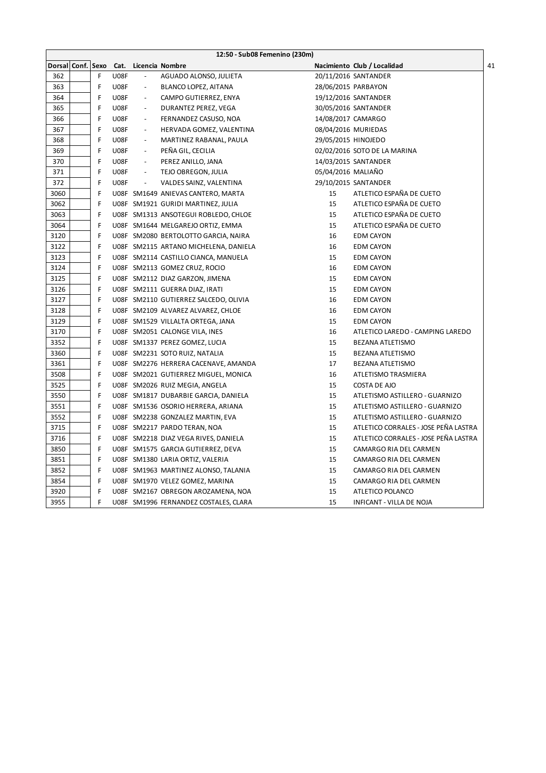|               | 12:50 - Sub08 Femenino (230m) |   |             |                          |                                       |                     |                                      |  |
|---------------|-------------------------------|---|-------------|--------------------------|---------------------------------------|---------------------|--------------------------------------|--|
| <b>Dorsal</b> | Conf. Sexo                    |   | Cat.        |                          | Licencia Nombre                       |                     | 41<br>Nacimiento Club / Localidad    |  |
| 362           |                               | F | <b>U08F</b> |                          | AGUADO ALONSO, JULIETA                |                     | 20/11/2016 SANTANDER                 |  |
| 363           |                               | F | U08F        | $\overline{\phantom{a}}$ | BLANCO LOPEZ, AITANA                  |                     | 28/06/2015 PARBAYON                  |  |
| 364           |                               | F | U08F        | $\overline{\phantom{a}}$ | CAMPO GUTIERREZ, ENYA                 |                     | 19/12/2016 SANTANDER                 |  |
| 365           |                               | F | <b>U08F</b> | $\overline{\phantom{a}}$ | DURANTEZ PEREZ, VEGA                  |                     | 30/05/2016 SANTANDER                 |  |
| 366           |                               | F | <b>U08F</b> | $\overline{\phantom{a}}$ | FERNANDEZ CASUSO, NOA                 | 14/08/2017 CAMARGO  |                                      |  |
| 367           |                               | F | U08F        | $\overline{\phantom{a}}$ | HERVADA GOMEZ, VALENTINA              |                     | 08/04/2016 MURIEDAS                  |  |
| 368           |                               | F | <b>U08F</b> | $\overline{\phantom{a}}$ | MARTINEZ RABANAL, PAULA               | 29/05/2015 HINOJEDO |                                      |  |
| 369           |                               | F | <b>U08F</b> | $\overline{\phantom{a}}$ | PEÑA GIL, CECILIA                     |                     | 02/02/2016 SOTO DE LA MARINA         |  |
| 370           |                               | F | <b>U08F</b> | $\overline{\phantom{a}}$ | PEREZ ANILLO, JANA                    |                     | 14/03/2015 SANTANDER                 |  |
| 371           |                               | F | U08F        | $\overline{\phantom{a}}$ | TEJO OBREGON, JULIA                   | 05/04/2016 MALIAÑO  |                                      |  |
| 372           |                               | F | <b>U08F</b> | $\blacksquare$           | VALDES SAINZ, VALENTINA               |                     | 29/10/2015 SANTANDER                 |  |
| 3060          |                               | F |             |                          | U08F SM1649 ANIEVAS CANTERO, MARTA    | 15                  | ATLETICO ESPAÑA DE CUETO             |  |
| 3062          |                               | F |             |                          | U08F SM1921 GURIDI MARTINEZ, JULIA    | 15                  | ATLETICO ESPAÑA DE CUETO             |  |
| 3063          |                               | F |             |                          | U08F SM1313 ANSOTEGUI ROBLEDO, CHLOE  | 15                  | ATLETICO ESPAÑA DE CUETO             |  |
| 3064          |                               | F |             |                          | U08F SM1644 MELGAREJO ORTIZ, EMMA     | 15                  | ATLETICO ESPAÑA DE CUETO             |  |
| 3120          |                               | F |             |                          | U08F SM2080 BERTOLOTTO GARCIA, NAIRA  | 16                  | <b>EDM CAYON</b>                     |  |
| 3122          |                               | F |             |                          | U08F SM2115 ARTANO MICHELENA, DANIELA | 16                  | <b>EDM CAYON</b>                     |  |
| 3123          |                               | F |             |                          | U08F SM2114 CASTILLO CIANCA, MANUELA  | 15                  | <b>EDM CAYON</b>                     |  |
| 3124          |                               | F |             |                          | U08F SM2113 GOMEZ CRUZ, ROCIO         | 16                  | <b>EDM CAYON</b>                     |  |
| 3125          |                               | F |             |                          | U08F SM2112 DIAZ GARZON, JIMENA       | 15                  | <b>EDM CAYON</b>                     |  |
| 3126          |                               | F |             |                          | U08F SM2111 GUERRA DIAZ, IRATI        | 15                  | <b>EDM CAYON</b>                     |  |
| 3127          |                               | F |             |                          | U08F SM2110 GUTIERREZ SALCEDO, OLIVIA | 16                  | <b>EDM CAYON</b>                     |  |
| 3128          |                               | F |             |                          | U08F SM2109 ALVAREZ ALVAREZ, CHLOE    | 16                  | <b>EDM CAYON</b>                     |  |
| 3129          |                               | F |             |                          | U08F SM1529 VILLALTA ORTEGA, JANA     | 15                  | <b>EDM CAYON</b>                     |  |
| 3170          |                               | F |             |                          | U08F SM2051 CALONGE VILA, INES        | 16                  | ATLETICO LAREDO - CAMPING LAREDO     |  |
| 3352          |                               | F |             |                          | U08F SM1337 PEREZ GOMEZ, LUCIA        | 15                  | BEZANA ATLETISMO                     |  |
| 3360          |                               | F |             |                          | U08F SM2231 SOTO RUIZ, NATALIA        | 15                  | <b>BEZANA ATLETISMO</b>              |  |
| 3361          |                               | F |             |                          | U08F SM2276 HERRERA CACENAVE, AMANDA  | 17                  | BEZANA ATLETISMO                     |  |
| 3508          |                               | F |             |                          | U08F SM2021 GUTIERREZ MIGUEL, MONICA  | 16                  | ATLETISMO TRASMIERA                  |  |
| 3525          |                               | F |             |                          | U08F SM2026 RUIZ MEGIA, ANGELA        | 15                  | COSTA DE AJO                         |  |
| 3550          |                               | F |             |                          | U08F SM1817 DUBARBIE GARCIA, DANIELA  | 15                  | ATLETISMO ASTILLERO - GUARNIZO       |  |
| 3551          |                               | F |             |                          | U08F SM1536 OSORIO HERRERA, ARIANA    | 15                  | ATLETISMO ASTILLERO - GUARNIZO       |  |
| 3552          |                               | F |             |                          | U08F SM2238 GONZALEZ MARTIN, EVA      | 15                  | ATLETISMO ASTILLERO - GUARNIZO       |  |
| 3715          |                               | F |             |                          | U08F SM2217 PARDO TERAN, NOA          | 15                  | ATLETICO CORRALES - JOSE PEÑA LASTRA |  |
| 3716          |                               | F |             |                          | U08F SM2218 DIAZ VEGA RIVES, DANIELA  | 15                  | ATLETICO CORRALES - JOSE PEÑA LASTRA |  |
| 3850          |                               | F |             |                          | U08F SM1575 GARCIA GUTIERREZ, DEVA    | 15                  | CAMARGO RIA DEL CARMEN               |  |
| 3851          |                               | F |             |                          | U08F SM1380 LARIA ORTIZ, VALERIA      | 15                  | CAMARGO RIA DEL CARMEN               |  |
| 3852          |                               | F |             |                          | U08F SM1963 MARTINEZ ALONSO, TALANIA  | 15                  | CAMARGO RIA DEL CARMEN               |  |
| 3854          |                               | F |             |                          | U08F SM1970 VELEZ GOMEZ, MARINA       | 15                  | CAMARGO RIA DEL CARMEN               |  |
| 3920          |                               | F |             |                          | U08F SM2167 OBREGON AROZAMENA, NOA    | 15                  | ATLETICO POLANCO                     |  |
| 3955          |                               | F |             |                          | U08F SM1996 FERNANDEZ COSTALES, CLARA | 15                  | INFICANT - VILLA DE NOJA             |  |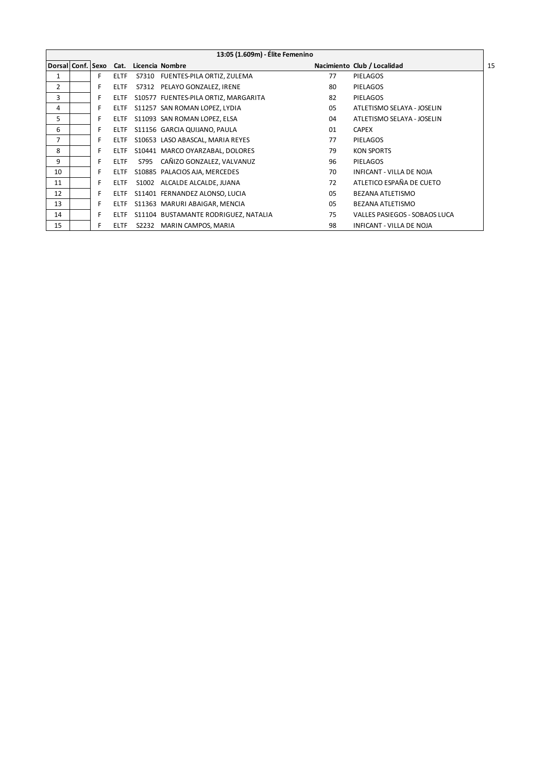|                | 13:05 (1.609m) - Élite Femenino |    |             |      |                                        |    |                                 |    |  |  |
|----------------|---------------------------------|----|-------------|------|----------------------------------------|----|---------------------------------|----|--|--|
|                |                                 |    |             |      | Dorsal Conf. Sexo Cat. Licencia Nombre |    | Nacimiento Club / Localidad     | 15 |  |  |
| 1              |                                 | F  | <b>ELTF</b> |      | S7310 FUENTES-PILA ORTIZ, ZULEMA       | 77 | PIELAGOS                        |    |  |  |
| $\overline{2}$ |                                 | F  | <b>ELTF</b> |      | S7312 PELAYO GONZALEZ, IRENE           | 80 | <b>PIELAGOS</b>                 |    |  |  |
| 3              |                                 | F. | <b>ELTF</b> |      | S10577 FUENTES-PILA ORTIZ, MARGARITA   | 82 | <b>PIELAGOS</b>                 |    |  |  |
| 4              |                                 | F  | <b>ELTF</b> |      | S11257 SAN ROMAN LOPEZ, LYDIA          | 05 | ATLETISMO SELAYA - JOSELIN      |    |  |  |
| 5              |                                 | F. | <b>ELTF</b> |      | S11093 SAN ROMAN LOPEZ, ELSA           | 04 | ATLETISMO SELAYA - JOSELIN      |    |  |  |
| 6              |                                 | F  | <b>ELTF</b> |      | S11156 GARCIA QUIJANO, PAULA           | 01 | <b>CAPEX</b>                    |    |  |  |
| 7              |                                 | F  | <b>ELTF</b> |      | S10653 LASO ABASCAL, MARIA REYES       | 77 | PIELAGOS                        |    |  |  |
| 8              |                                 | F  | <b>ELTF</b> |      | S10441 MARCO OYARZABAL, DOLORES        | 79 | <b>KON SPORTS</b>               |    |  |  |
| 9              |                                 | F  | <b>ELTF</b> | S795 | CAÑIZO GONZALEZ, VALVANUZ              | 96 | <b>PIELAGOS</b>                 |    |  |  |
| 10             |                                 | F. | <b>ELTF</b> |      | S10885 PALACIOS AJA, MERCEDES          | 70 | <b>INFICANT - VILLA DE NOJA</b> |    |  |  |
| 11             |                                 | F  | <b>ELTF</b> |      | S1002 ALCALDE ALCALDE, JUANA           | 72 | ATLETICO ESPAÑA DE CUETO        |    |  |  |
| 12             |                                 | F. | <b>ELTF</b> |      | S11401 FERNANDEZ ALONSO, LUCIA         | 05 | BEZANA ATLETISMO                |    |  |  |
| 13             |                                 | F. | <b>ELTF</b> |      | S11363 MARURI ABAIGAR, MENCIA          | 05 | BEZANA ATLETISMO                |    |  |  |
| 14             |                                 | F  | <b>ELTF</b> |      | S11104 BUSTAMANTE RODRIGUEZ, NATALIA   | 75 | VALLES PASIEGOS - SOBAOS LUCA   |    |  |  |
| 15             |                                 | F  | <b>ELTF</b> |      | S2232 MARIN CAMPOS, MARIA              | 98 | INFICANT - VILLA DE NOJA        |    |  |  |